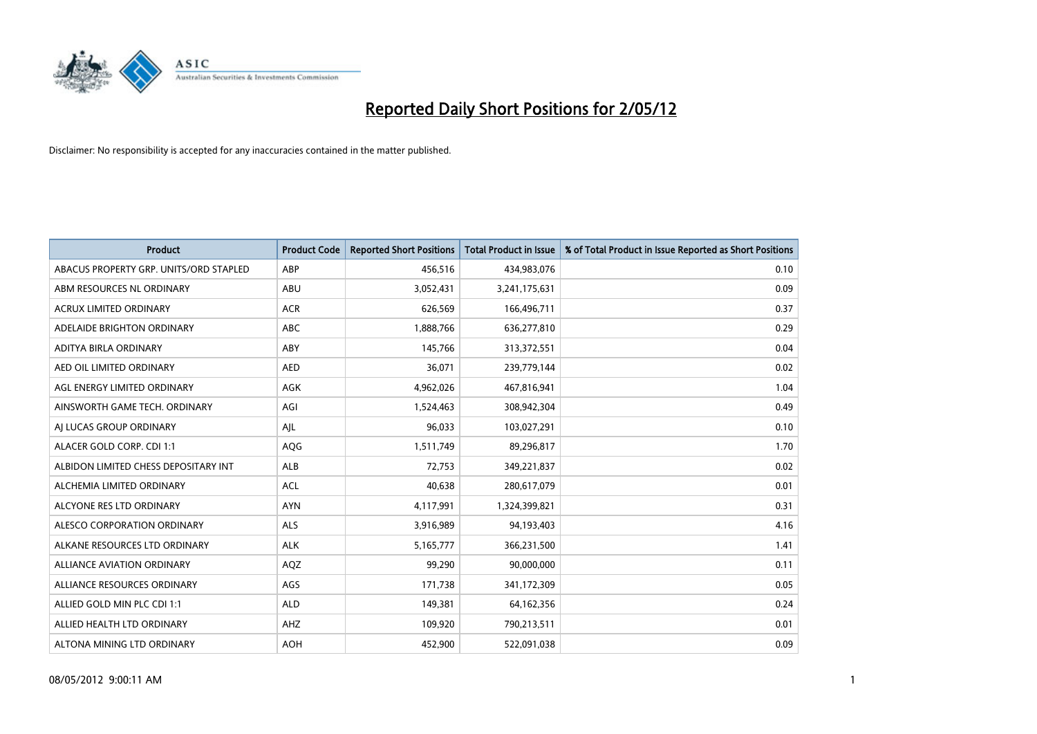

| <b>Product</b>                         | <b>Product Code</b> | <b>Reported Short Positions</b> | <b>Total Product in Issue</b> | % of Total Product in Issue Reported as Short Positions |
|----------------------------------------|---------------------|---------------------------------|-------------------------------|---------------------------------------------------------|
| ABACUS PROPERTY GRP. UNITS/ORD STAPLED | ABP                 | 456,516                         | 434,983,076                   | 0.10                                                    |
| ABM RESOURCES NL ORDINARY              | ABU                 | 3,052,431                       | 3,241,175,631                 | 0.09                                                    |
| <b>ACRUX LIMITED ORDINARY</b>          | <b>ACR</b>          | 626,569                         | 166,496,711                   | 0.37                                                    |
| ADELAIDE BRIGHTON ORDINARY             | <b>ABC</b>          | 1,888,766                       | 636,277,810                   | 0.29                                                    |
| ADITYA BIRLA ORDINARY                  | ABY                 | 145,766                         | 313,372,551                   | 0.04                                                    |
| AED OIL LIMITED ORDINARY               | <b>AED</b>          | 36,071                          | 239,779,144                   | 0.02                                                    |
| AGL ENERGY LIMITED ORDINARY            | AGK                 | 4,962,026                       | 467,816,941                   | 1.04                                                    |
| AINSWORTH GAME TECH. ORDINARY          | AGI                 | 1,524,463                       | 308,942,304                   | 0.49                                                    |
| AI LUCAS GROUP ORDINARY                | AJL                 | 96,033                          | 103,027,291                   | 0.10                                                    |
| ALACER GOLD CORP. CDI 1:1              | AQG                 | 1,511,749                       | 89,296,817                    | 1.70                                                    |
| ALBIDON LIMITED CHESS DEPOSITARY INT   | ALB                 | 72,753                          | 349,221,837                   | 0.02                                                    |
| ALCHEMIA LIMITED ORDINARY              | <b>ACL</b>          | 40,638                          | 280,617,079                   | 0.01                                                    |
| ALCYONE RES LTD ORDINARY               | <b>AYN</b>          | 4,117,991                       | 1,324,399,821                 | 0.31                                                    |
| ALESCO CORPORATION ORDINARY            | ALS                 | 3,916,989                       | 94,193,403                    | 4.16                                                    |
| ALKANE RESOURCES LTD ORDINARY          | <b>ALK</b>          | 5,165,777                       | 366,231,500                   | 1.41                                                    |
| ALLIANCE AVIATION ORDINARY             | AQZ                 | 99,290                          | 90,000,000                    | 0.11                                                    |
| ALLIANCE RESOURCES ORDINARY            | AGS                 | 171,738                         | 341,172,309                   | 0.05                                                    |
| ALLIED GOLD MIN PLC CDI 1:1            | <b>ALD</b>          | 149,381                         | 64,162,356                    | 0.24                                                    |
| ALLIED HEALTH LTD ORDINARY             | AHZ                 | 109,920                         | 790,213,511                   | 0.01                                                    |
| ALTONA MINING LTD ORDINARY             | <b>AOH</b>          | 452,900                         | 522,091,038                   | 0.09                                                    |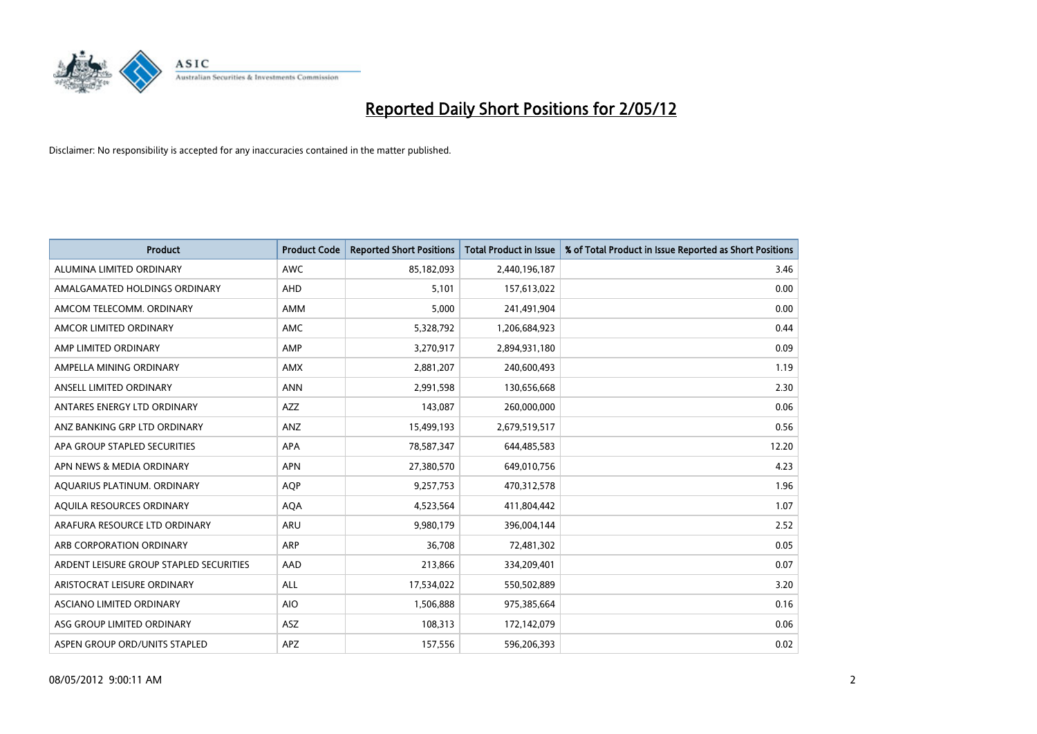

| <b>Product</b>                          | <b>Product Code</b> | <b>Reported Short Positions</b> | <b>Total Product in Issue</b> | % of Total Product in Issue Reported as Short Positions |
|-----------------------------------------|---------------------|---------------------------------|-------------------------------|---------------------------------------------------------|
| ALUMINA LIMITED ORDINARY                | <b>AWC</b>          | 85,182,093                      | 2,440,196,187                 | 3.46                                                    |
| AMALGAMATED HOLDINGS ORDINARY           | AHD                 | 5,101                           | 157,613,022                   | 0.00                                                    |
| AMCOM TELECOMM, ORDINARY                | AMM                 | 5,000                           | 241,491,904                   | 0.00                                                    |
| AMCOR LIMITED ORDINARY                  | AMC                 | 5,328,792                       | 1,206,684,923                 | 0.44                                                    |
| AMP LIMITED ORDINARY                    | AMP                 | 3,270,917                       | 2,894,931,180                 | 0.09                                                    |
| AMPELLA MINING ORDINARY                 | <b>AMX</b>          | 2,881,207                       | 240,600,493                   | 1.19                                                    |
| ANSELL LIMITED ORDINARY                 | <b>ANN</b>          | 2,991,598                       | 130,656,668                   | 2.30                                                    |
| ANTARES ENERGY LTD ORDINARY             | AZZ                 | 143,087                         | 260,000,000                   | 0.06                                                    |
| ANZ BANKING GRP LTD ORDINARY            | ANZ                 | 15,499,193                      | 2,679,519,517                 | 0.56                                                    |
| APA GROUP STAPLED SECURITIES            | <b>APA</b>          | 78,587,347                      | 644,485,583                   | 12.20                                                   |
| APN NEWS & MEDIA ORDINARY               | <b>APN</b>          | 27,380,570                      | 649,010,756                   | 4.23                                                    |
| AQUARIUS PLATINUM. ORDINARY             | AQP                 | 9,257,753                       | 470,312,578                   | 1.96                                                    |
| AQUILA RESOURCES ORDINARY               | <b>AQA</b>          | 4,523,564                       | 411,804,442                   | 1.07                                                    |
| ARAFURA RESOURCE LTD ORDINARY           | ARU                 | 9,980,179                       | 396,004,144                   | 2.52                                                    |
| ARB CORPORATION ORDINARY                | <b>ARP</b>          | 36,708                          | 72,481,302                    | 0.05                                                    |
| ARDENT LEISURE GROUP STAPLED SECURITIES | AAD                 | 213,866                         | 334,209,401                   | 0.07                                                    |
| ARISTOCRAT LEISURE ORDINARY             | ALL                 | 17,534,022                      | 550,502,889                   | 3.20                                                    |
| ASCIANO LIMITED ORDINARY                | <b>AIO</b>          | 1,506,888                       | 975,385,664                   | 0.16                                                    |
| ASG GROUP LIMITED ORDINARY              | ASZ                 | 108,313                         | 172,142,079                   | 0.06                                                    |
| ASPEN GROUP ORD/UNITS STAPLED           | APZ                 | 157,556                         | 596,206,393                   | 0.02                                                    |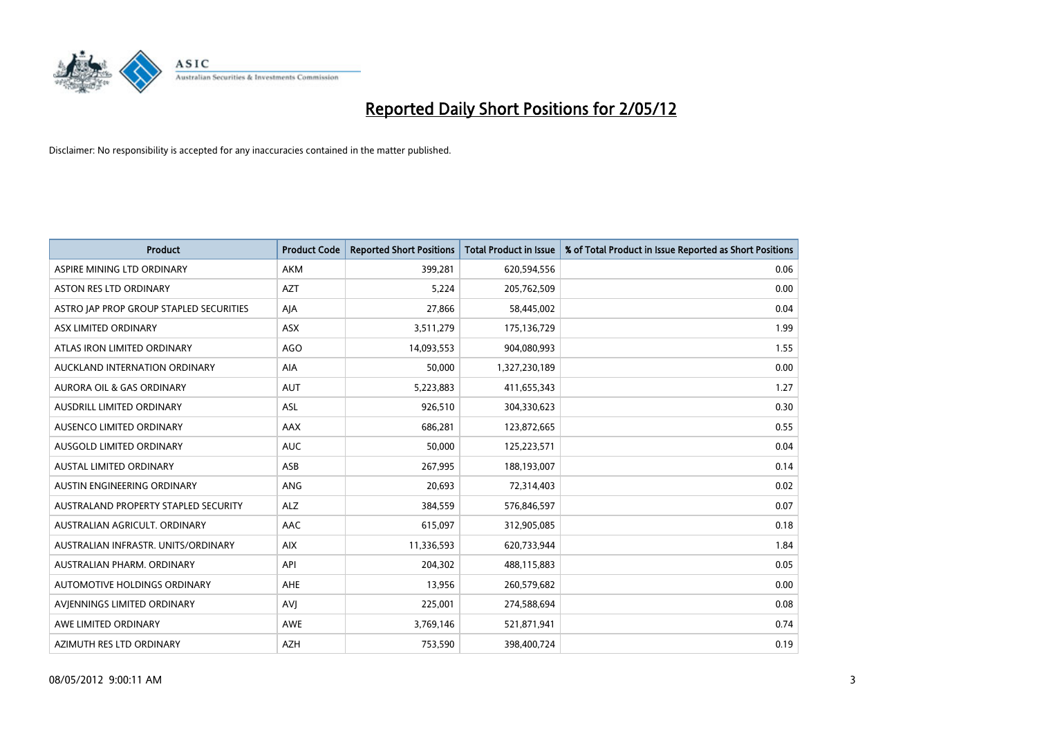

| <b>Product</b>                          | <b>Product Code</b> | <b>Reported Short Positions</b> | <b>Total Product in Issue</b> | % of Total Product in Issue Reported as Short Positions |
|-----------------------------------------|---------------------|---------------------------------|-------------------------------|---------------------------------------------------------|
| ASPIRE MINING LTD ORDINARY              | <b>AKM</b>          | 399,281                         | 620,594,556                   | 0.06                                                    |
| ASTON RES LTD ORDINARY                  | <b>AZT</b>          | 5,224                           | 205,762,509                   | 0.00                                                    |
| ASTRO JAP PROP GROUP STAPLED SECURITIES | AJA                 | 27,866                          | 58,445,002                    | 0.04                                                    |
| ASX LIMITED ORDINARY                    | ASX                 | 3,511,279                       | 175,136,729                   | 1.99                                                    |
| ATLAS IRON LIMITED ORDINARY             | <b>AGO</b>          | 14,093,553                      | 904,080,993                   | 1.55                                                    |
| AUCKLAND INTERNATION ORDINARY           | <b>AIA</b>          | 50,000                          | 1,327,230,189                 | 0.00                                                    |
| <b>AURORA OIL &amp; GAS ORDINARY</b>    | <b>AUT</b>          | 5,223,883                       | 411,655,343                   | 1.27                                                    |
| AUSDRILL LIMITED ORDINARY               | ASL                 | 926,510                         | 304,330,623                   | 0.30                                                    |
| AUSENCO LIMITED ORDINARY                | AAX                 | 686,281                         | 123,872,665                   | 0.55                                                    |
| AUSGOLD LIMITED ORDINARY                | <b>AUC</b>          | 50,000                          | 125,223,571                   | 0.04                                                    |
| AUSTAL LIMITED ORDINARY                 | ASB                 | 267,995                         | 188,193,007                   | 0.14                                                    |
| AUSTIN ENGINEERING ORDINARY             | ANG                 | 20,693                          | 72,314,403                    | 0.02                                                    |
| AUSTRALAND PROPERTY STAPLED SECURITY    | <b>ALZ</b>          | 384,559                         | 576,846,597                   | 0.07                                                    |
| AUSTRALIAN AGRICULT, ORDINARY           | AAC                 | 615,097                         | 312,905,085                   | 0.18                                                    |
| AUSTRALIAN INFRASTR, UNITS/ORDINARY     | <b>AIX</b>          | 11,336,593                      | 620,733,944                   | 1.84                                                    |
| AUSTRALIAN PHARM. ORDINARY              | API                 | 204,302                         | 488,115,883                   | 0.05                                                    |
| AUTOMOTIVE HOLDINGS ORDINARY            | AHE                 | 13,956                          | 260,579,682                   | 0.00                                                    |
| AVIENNINGS LIMITED ORDINARY             | <b>AVJ</b>          | 225,001                         | 274,588,694                   | 0.08                                                    |
| AWE LIMITED ORDINARY                    | <b>AWE</b>          | 3,769,146                       | 521,871,941                   | 0.74                                                    |
| AZIMUTH RES LTD ORDINARY                | <b>AZH</b>          | 753,590                         | 398,400,724                   | 0.19                                                    |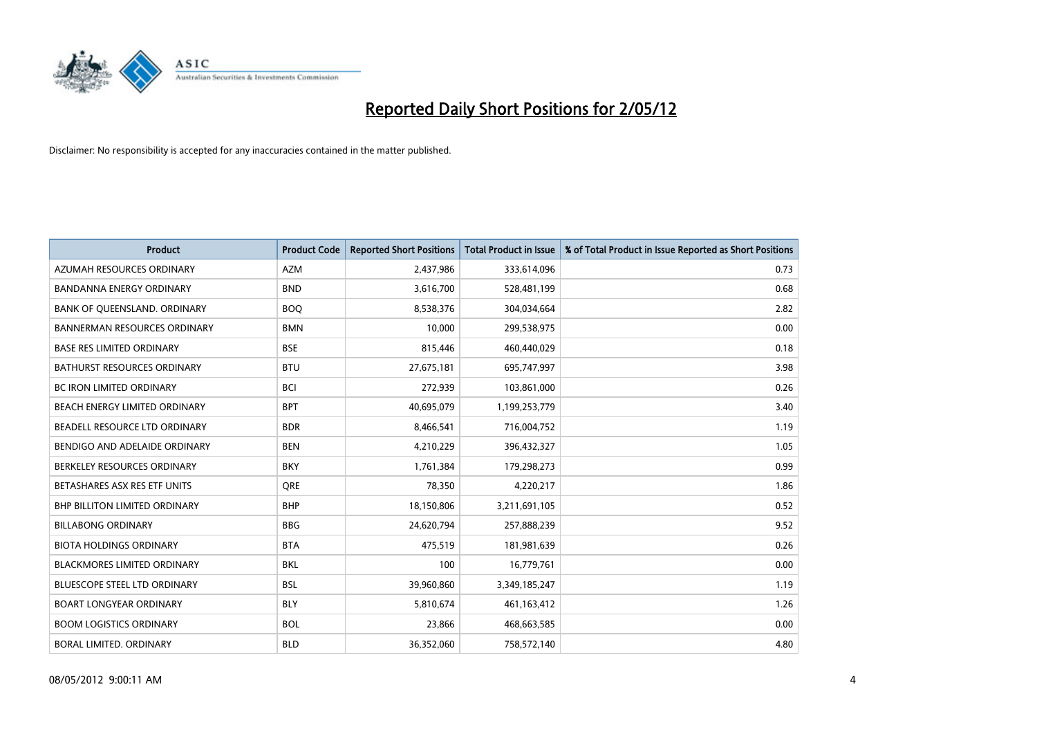

| <b>Product</b>                       | <b>Product Code</b> | <b>Reported Short Positions</b> | <b>Total Product in Issue</b> | % of Total Product in Issue Reported as Short Positions |
|--------------------------------------|---------------------|---------------------------------|-------------------------------|---------------------------------------------------------|
| AZUMAH RESOURCES ORDINARY            | <b>AZM</b>          | 2,437,986                       | 333,614,096                   | 0.73                                                    |
| <b>BANDANNA ENERGY ORDINARY</b>      | <b>BND</b>          | 3,616,700                       | 528,481,199                   | 0.68                                                    |
| BANK OF QUEENSLAND. ORDINARY         | <b>BOQ</b>          | 8,538,376                       | 304,034,664                   | 2.82                                                    |
| <b>BANNERMAN RESOURCES ORDINARY</b>  | <b>BMN</b>          | 10,000                          | 299,538,975                   | 0.00                                                    |
| <b>BASE RES LIMITED ORDINARY</b>     | <b>BSE</b>          | 815,446                         | 460,440,029                   | 0.18                                                    |
| <b>BATHURST RESOURCES ORDINARY</b>   | <b>BTU</b>          | 27,675,181                      | 695,747,997                   | 3.98                                                    |
| <b>BC IRON LIMITED ORDINARY</b>      | <b>BCI</b>          | 272,939                         | 103,861,000                   | 0.26                                                    |
| BEACH ENERGY LIMITED ORDINARY        | <b>BPT</b>          | 40,695,079                      | 1,199,253,779                 | 3.40                                                    |
| BEADELL RESOURCE LTD ORDINARY        | <b>BDR</b>          | 8,466,541                       | 716,004,752                   | 1.19                                                    |
| BENDIGO AND ADELAIDE ORDINARY        | <b>BEN</b>          | 4,210,229                       | 396,432,327                   | 1.05                                                    |
| BERKELEY RESOURCES ORDINARY          | <b>BKY</b>          | 1,761,384                       | 179,298,273                   | 0.99                                                    |
| BETASHARES ASX RES ETF UNITS         | <b>ORE</b>          | 78,350                          | 4,220,217                     | 1.86                                                    |
| <b>BHP BILLITON LIMITED ORDINARY</b> | <b>BHP</b>          | 18,150,806                      | 3,211,691,105                 | 0.52                                                    |
| <b>BILLABONG ORDINARY</b>            | <b>BBG</b>          | 24,620,794                      | 257,888,239                   | 9.52                                                    |
| <b>BIOTA HOLDINGS ORDINARY</b>       | <b>BTA</b>          | 475,519                         | 181,981,639                   | 0.26                                                    |
| <b>BLACKMORES LIMITED ORDINARY</b>   | <b>BKL</b>          | 100                             | 16,779,761                    | 0.00                                                    |
| <b>BLUESCOPE STEEL LTD ORDINARY</b>  | <b>BSL</b>          | 39,960,860                      | 3,349,185,247                 | 1.19                                                    |
| BOART LONGYEAR ORDINARY              | <b>BLY</b>          | 5,810,674                       | 461,163,412                   | 1.26                                                    |
| <b>BOOM LOGISTICS ORDINARY</b>       | <b>BOL</b>          | 23,866                          | 468,663,585                   | 0.00                                                    |
| <b>BORAL LIMITED, ORDINARY</b>       | <b>BLD</b>          | 36,352,060                      | 758,572,140                   | 4.80                                                    |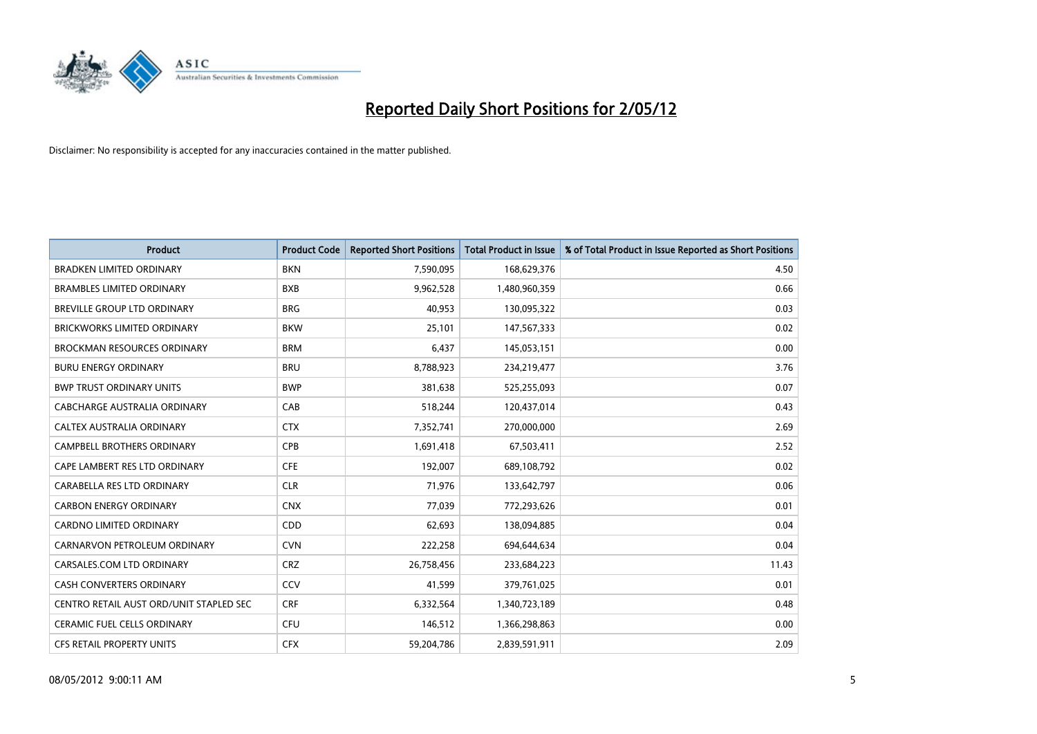

| <b>Product</b>                          | <b>Product Code</b> | <b>Reported Short Positions</b> | <b>Total Product in Issue</b> | % of Total Product in Issue Reported as Short Positions |
|-----------------------------------------|---------------------|---------------------------------|-------------------------------|---------------------------------------------------------|
| <b>BRADKEN LIMITED ORDINARY</b>         | <b>BKN</b>          | 7,590,095                       | 168,629,376                   | 4.50                                                    |
| <b>BRAMBLES LIMITED ORDINARY</b>        | <b>BXB</b>          | 9,962,528                       | 1,480,960,359                 | 0.66                                                    |
| <b>BREVILLE GROUP LTD ORDINARY</b>      | <b>BRG</b>          | 40,953                          | 130,095,322                   | 0.03                                                    |
| <b>BRICKWORKS LIMITED ORDINARY</b>      | <b>BKW</b>          | 25,101                          | 147,567,333                   | 0.02                                                    |
| <b>BROCKMAN RESOURCES ORDINARY</b>      | <b>BRM</b>          | 6,437                           | 145,053,151                   | 0.00                                                    |
| <b>BURU ENERGY ORDINARY</b>             | <b>BRU</b>          | 8,788,923                       | 234,219,477                   | 3.76                                                    |
| <b>BWP TRUST ORDINARY UNITS</b>         | <b>BWP</b>          | 381,638                         | 525,255,093                   | 0.07                                                    |
| <b>CABCHARGE AUSTRALIA ORDINARY</b>     | CAB                 | 518,244                         | 120,437,014                   | 0.43                                                    |
| CALTEX AUSTRALIA ORDINARY               | <b>CTX</b>          | 7,352,741                       | 270,000,000                   | 2.69                                                    |
| <b>CAMPBELL BROTHERS ORDINARY</b>       | <b>CPB</b>          | 1,691,418                       | 67,503,411                    | 2.52                                                    |
| CAPE LAMBERT RES LTD ORDINARY           | <b>CFE</b>          | 192,007                         | 689,108,792                   | 0.02                                                    |
| CARABELLA RES LTD ORDINARY              | <b>CLR</b>          | 71,976                          | 133,642,797                   | 0.06                                                    |
| <b>CARBON ENERGY ORDINARY</b>           | <b>CNX</b>          | 77,039                          | 772,293,626                   | 0.01                                                    |
| <b>CARDNO LIMITED ORDINARY</b>          | CDD                 | 62,693                          | 138,094,885                   | 0.04                                                    |
| CARNARVON PETROLEUM ORDINARY            | <b>CVN</b>          | 222,258                         | 694,644,634                   | 0.04                                                    |
| CARSALES.COM LTD ORDINARY               | <b>CRZ</b>          | 26,758,456                      | 233,684,223                   | 11.43                                                   |
| <b>CASH CONVERTERS ORDINARY</b>         | CCV                 | 41,599                          | 379,761,025                   | 0.01                                                    |
| CENTRO RETAIL AUST ORD/UNIT STAPLED SEC | <b>CRF</b>          | 6,332,564                       | 1,340,723,189                 | 0.48                                                    |
| <b>CERAMIC FUEL CELLS ORDINARY</b>      | <b>CFU</b>          | 146,512                         | 1,366,298,863                 | 0.00                                                    |
| <b>CFS RETAIL PROPERTY UNITS</b>        | <b>CFX</b>          | 59,204,786                      | 2,839,591,911                 | 2.09                                                    |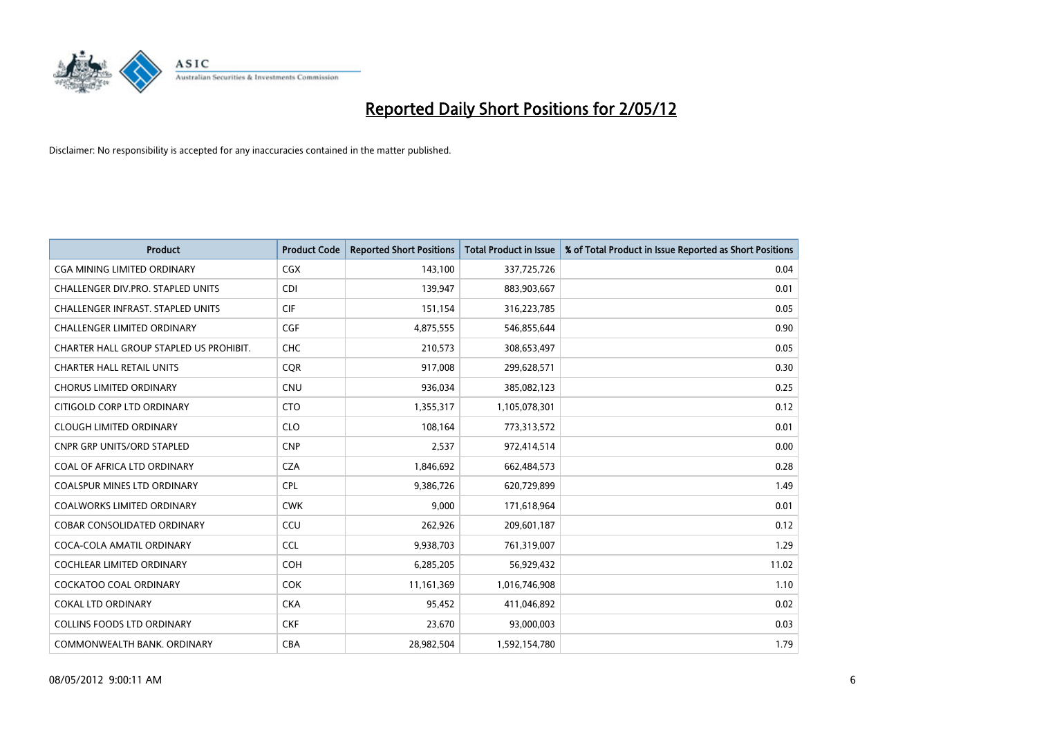

| <b>Product</b>                           | <b>Product Code</b> | <b>Reported Short Positions</b> | <b>Total Product in Issue</b> | % of Total Product in Issue Reported as Short Positions |
|------------------------------------------|---------------------|---------------------------------|-------------------------------|---------------------------------------------------------|
| <b>CGA MINING LIMITED ORDINARY</b>       | <b>CGX</b>          | 143,100                         | 337,725,726                   | 0.04                                                    |
| CHALLENGER DIV.PRO. STAPLED UNITS        | <b>CDI</b>          | 139,947                         | 883,903,667                   | 0.01                                                    |
| <b>CHALLENGER INFRAST, STAPLED UNITS</b> | <b>CIF</b>          | 151,154                         | 316,223,785                   | 0.05                                                    |
| <b>CHALLENGER LIMITED ORDINARY</b>       | <b>CGF</b>          | 4,875,555                       | 546,855,644                   | 0.90                                                    |
| CHARTER HALL GROUP STAPLED US PROHIBIT.  | <b>CHC</b>          | 210,573                         | 308,653,497                   | 0.05                                                    |
| <b>CHARTER HALL RETAIL UNITS</b>         | <b>COR</b>          | 917,008                         | 299,628,571                   | 0.30                                                    |
| <b>CHORUS LIMITED ORDINARY</b>           | <b>CNU</b>          | 936,034                         | 385,082,123                   | 0.25                                                    |
| CITIGOLD CORP LTD ORDINARY               | <b>CTO</b>          | 1,355,317                       | 1,105,078,301                 | 0.12                                                    |
| <b>CLOUGH LIMITED ORDINARY</b>           | <b>CLO</b>          | 108,164                         | 773,313,572                   | 0.01                                                    |
| <b>CNPR GRP UNITS/ORD STAPLED</b>        | <b>CNP</b>          | 2,537                           | 972,414,514                   | 0.00                                                    |
| COAL OF AFRICA LTD ORDINARY              | <b>CZA</b>          | 1,846,692                       | 662,484,573                   | 0.28                                                    |
| COALSPUR MINES LTD ORDINARY              | <b>CPL</b>          | 9,386,726                       | 620,729,899                   | 1.49                                                    |
| <b>COALWORKS LIMITED ORDINARY</b>        | <b>CWK</b>          | 9,000                           | 171,618,964                   | 0.01                                                    |
| <b>COBAR CONSOLIDATED ORDINARY</b>       | CCU                 | 262,926                         | 209,601,187                   | 0.12                                                    |
| COCA-COLA AMATIL ORDINARY                | <b>CCL</b>          | 9,938,703                       | 761,319,007                   | 1.29                                                    |
| <b>COCHLEAR LIMITED ORDINARY</b>         | COH                 | 6,285,205                       | 56,929,432                    | 11.02                                                   |
| <b>COCKATOO COAL ORDINARY</b>            | <b>COK</b>          | 11,161,369                      | 1,016,746,908                 | 1.10                                                    |
| <b>COKAL LTD ORDINARY</b>                | <b>CKA</b>          | 95,452                          | 411,046,892                   | 0.02                                                    |
| <b>COLLINS FOODS LTD ORDINARY</b>        | <b>CKF</b>          | 23,670                          | 93,000,003                    | 0.03                                                    |
| COMMONWEALTH BANK, ORDINARY              | <b>CBA</b>          | 28,982,504                      | 1,592,154,780                 | 1.79                                                    |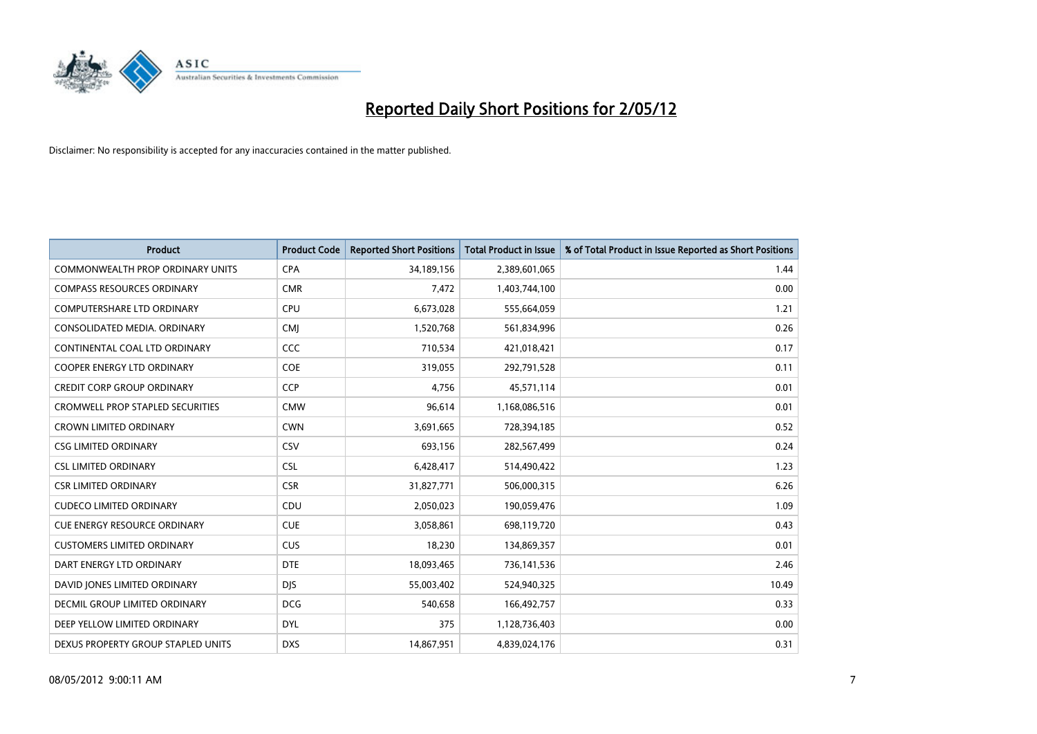

| <b>Product</b>                          | <b>Product Code</b> | <b>Reported Short Positions</b> | <b>Total Product in Issue</b> | % of Total Product in Issue Reported as Short Positions |
|-----------------------------------------|---------------------|---------------------------------|-------------------------------|---------------------------------------------------------|
| <b>COMMONWEALTH PROP ORDINARY UNITS</b> | <b>CPA</b>          | 34,189,156                      | 2,389,601,065                 | 1.44                                                    |
| <b>COMPASS RESOURCES ORDINARY</b>       | <b>CMR</b>          | 7,472                           | 1,403,744,100                 | 0.00                                                    |
| <b>COMPUTERSHARE LTD ORDINARY</b>       | <b>CPU</b>          | 6,673,028                       | 555,664,059                   | 1.21                                                    |
| CONSOLIDATED MEDIA. ORDINARY            | <b>CMJ</b>          | 1,520,768                       | 561,834,996                   | 0.26                                                    |
| CONTINENTAL COAL LTD ORDINARY           | CCC                 | 710,534                         | 421,018,421                   | 0.17                                                    |
| <b>COOPER ENERGY LTD ORDINARY</b>       | <b>COE</b>          | 319,055                         | 292,791,528                   | 0.11                                                    |
| <b>CREDIT CORP GROUP ORDINARY</b>       | <b>CCP</b>          | 4,756                           | 45,571,114                    | 0.01                                                    |
| <b>CROMWELL PROP STAPLED SECURITIES</b> | <b>CMW</b>          | 96,614                          | 1,168,086,516                 | 0.01                                                    |
| <b>CROWN LIMITED ORDINARY</b>           | <b>CWN</b>          | 3,691,665                       | 728,394,185                   | 0.52                                                    |
| <b>CSG LIMITED ORDINARY</b>             | CSV                 | 693,156                         | 282,567,499                   | 0.24                                                    |
| <b>CSL LIMITED ORDINARY</b>             | <b>CSL</b>          | 6,428,417                       | 514,490,422                   | 1.23                                                    |
| <b>CSR LIMITED ORDINARY</b>             | <b>CSR</b>          | 31,827,771                      | 506,000,315                   | 6.26                                                    |
| <b>CUDECO LIMITED ORDINARY</b>          | CDU                 | 2,050,023                       | 190,059,476                   | 1.09                                                    |
| <b>CUE ENERGY RESOURCE ORDINARY</b>     | <b>CUE</b>          | 3,058,861                       | 698,119,720                   | 0.43                                                    |
| <b>CUSTOMERS LIMITED ORDINARY</b>       | <b>CUS</b>          | 18,230                          | 134,869,357                   | 0.01                                                    |
| DART ENERGY LTD ORDINARY                | <b>DTE</b>          | 18,093,465                      | 736,141,536                   | 2.46                                                    |
| DAVID JONES LIMITED ORDINARY            | <b>DJS</b>          | 55,003,402                      | 524,940,325                   | 10.49                                                   |
| <b>DECMIL GROUP LIMITED ORDINARY</b>    | <b>DCG</b>          | 540,658                         | 166,492,757                   | 0.33                                                    |
| DEEP YELLOW LIMITED ORDINARY            | <b>DYL</b>          | 375                             | 1,128,736,403                 | 0.00                                                    |
| DEXUS PROPERTY GROUP STAPLED UNITS      | <b>DXS</b>          | 14,867,951                      | 4,839,024,176                 | 0.31                                                    |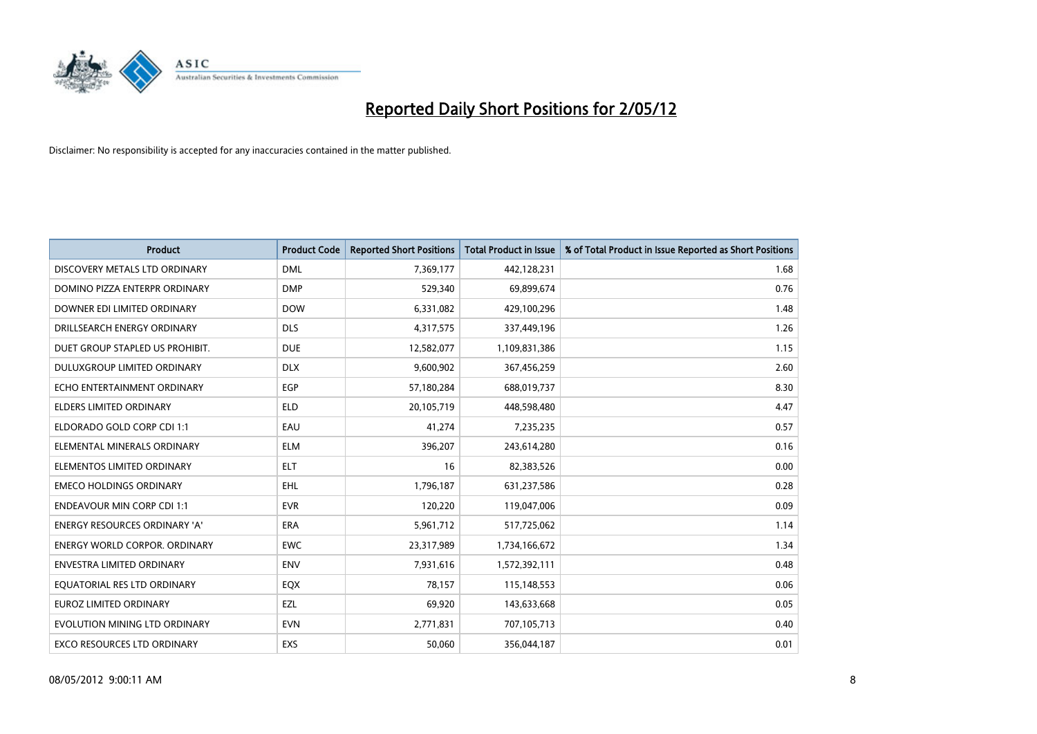

| <b>Product</b>                       | <b>Product Code</b> | <b>Reported Short Positions</b> | <b>Total Product in Issue</b> | % of Total Product in Issue Reported as Short Positions |
|--------------------------------------|---------------------|---------------------------------|-------------------------------|---------------------------------------------------------|
| DISCOVERY METALS LTD ORDINARY        | <b>DML</b>          | 7,369,177                       | 442,128,231                   | 1.68                                                    |
| DOMINO PIZZA ENTERPR ORDINARY        | <b>DMP</b>          | 529,340                         | 69,899,674                    | 0.76                                                    |
| DOWNER EDI LIMITED ORDINARY          | <b>DOW</b>          | 6,331,082                       | 429,100,296                   | 1.48                                                    |
| DRILLSEARCH ENERGY ORDINARY          | <b>DLS</b>          | 4,317,575                       | 337,449,196                   | 1.26                                                    |
| DUET GROUP STAPLED US PROHIBIT.      | <b>DUE</b>          | 12,582,077                      | 1,109,831,386                 | 1.15                                                    |
| DULUXGROUP LIMITED ORDINARY          | <b>DLX</b>          | 9,600,902                       | 367,456,259                   | 2.60                                                    |
| ECHO ENTERTAINMENT ORDINARY          | <b>EGP</b>          | 57,180,284                      | 688,019,737                   | 8.30                                                    |
| ELDERS LIMITED ORDINARY              | <b>ELD</b>          | 20,105,719                      | 448,598,480                   | 4.47                                                    |
| ELDORADO GOLD CORP CDI 1:1           | EAU                 | 41.274                          | 7,235,235                     | 0.57                                                    |
| ELEMENTAL MINERALS ORDINARY          | <b>ELM</b>          | 396,207                         | 243,614,280                   | 0.16                                                    |
| ELEMENTOS LIMITED ORDINARY           | <b>ELT</b>          | 16                              | 82,383,526                    | 0.00                                                    |
| <b>EMECO HOLDINGS ORDINARY</b>       | <b>EHL</b>          | 1,796,187                       | 631,237,586                   | 0.28                                                    |
| <b>ENDEAVOUR MIN CORP CDI 1:1</b>    | <b>EVR</b>          | 120,220                         | 119,047,006                   | 0.09                                                    |
| <b>ENERGY RESOURCES ORDINARY 'A'</b> | ERA                 | 5,961,712                       | 517,725,062                   | 1.14                                                    |
| <b>ENERGY WORLD CORPOR, ORDINARY</b> | <b>EWC</b>          | 23,317,989                      | 1,734,166,672                 | 1.34                                                    |
| ENVESTRA LIMITED ORDINARY            | <b>ENV</b>          | 7,931,616                       | 1,572,392,111                 | 0.48                                                    |
| EQUATORIAL RES LTD ORDINARY          | EQX                 | 78,157                          | 115,148,553                   | 0.06                                                    |
| <b>EUROZ LIMITED ORDINARY</b>        | EZL                 | 69,920                          | 143,633,668                   | 0.05                                                    |
| EVOLUTION MINING LTD ORDINARY        | <b>EVN</b>          | 2,771,831                       | 707,105,713                   | 0.40                                                    |
| EXCO RESOURCES LTD ORDINARY          | EXS                 | 50,060                          | 356,044,187                   | 0.01                                                    |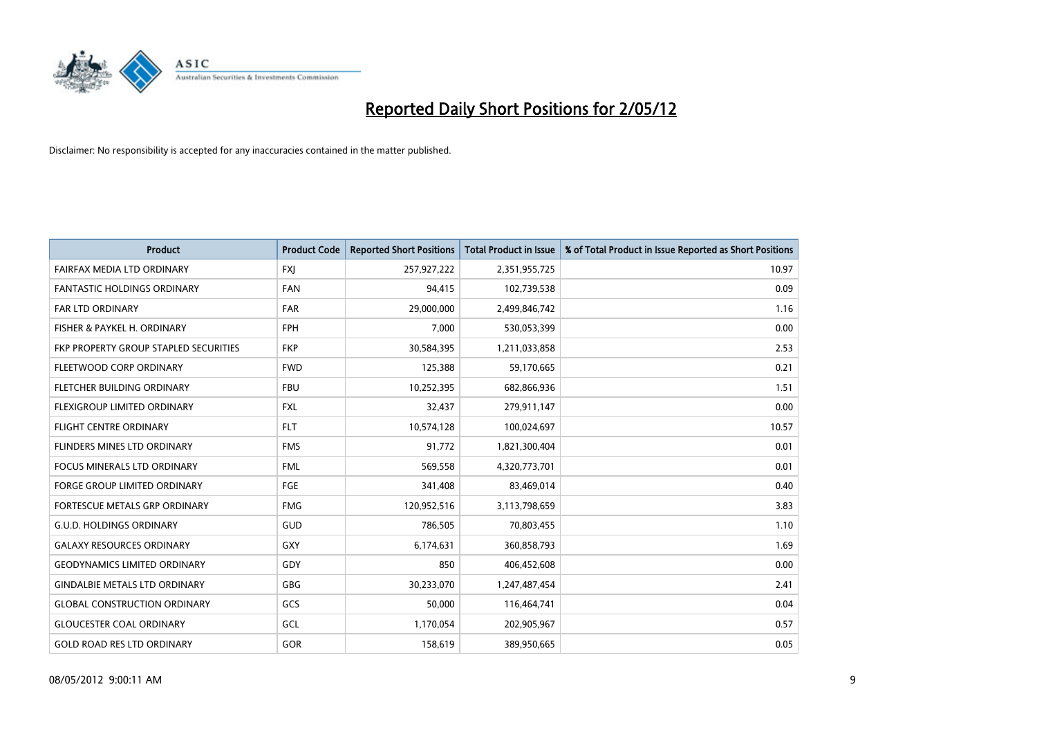

| <b>Product</b>                               | <b>Product Code</b> | <b>Reported Short Positions</b> | <b>Total Product in Issue</b> | % of Total Product in Issue Reported as Short Positions |
|----------------------------------------------|---------------------|---------------------------------|-------------------------------|---------------------------------------------------------|
| FAIRFAX MEDIA LTD ORDINARY                   | <b>FXJ</b>          | 257,927,222                     | 2,351,955,725                 | 10.97                                                   |
| <b>FANTASTIC HOLDINGS ORDINARY</b>           | <b>FAN</b>          | 94,415                          | 102,739,538                   | 0.09                                                    |
| <b>FAR LTD ORDINARY</b>                      | <b>FAR</b>          | 29,000,000                      | 2,499,846,742                 | 1.16                                                    |
| FISHER & PAYKEL H. ORDINARY                  | <b>FPH</b>          | 7,000                           | 530,053,399                   | 0.00                                                    |
| <b>FKP PROPERTY GROUP STAPLED SECURITIES</b> | <b>FKP</b>          | 30,584,395                      | 1,211,033,858                 | 2.53                                                    |
| FLEETWOOD CORP ORDINARY                      | <b>FWD</b>          | 125,388                         | 59,170,665                    | 0.21                                                    |
| FLETCHER BUILDING ORDINARY                   | <b>FBU</b>          | 10,252,395                      | 682,866,936                   | 1.51                                                    |
| FLEXIGROUP LIMITED ORDINARY                  | <b>FXL</b>          | 32,437                          | 279,911,147                   | 0.00                                                    |
| <b>FLIGHT CENTRE ORDINARY</b>                | <b>FLT</b>          | 10,574,128                      | 100,024,697                   | 10.57                                                   |
| FLINDERS MINES LTD ORDINARY                  | <b>FMS</b>          | 91,772                          | 1,821,300,404                 | 0.01                                                    |
| FOCUS MINERALS LTD ORDINARY                  | <b>FML</b>          | 569,558                         | 4,320,773,701                 | 0.01                                                    |
| <b>FORGE GROUP LIMITED ORDINARY</b>          | <b>FGE</b>          | 341,408                         | 83,469,014                    | 0.40                                                    |
| FORTESCUE METALS GRP ORDINARY                | <b>FMG</b>          | 120,952,516                     | 3,113,798,659                 | 3.83                                                    |
| <b>G.U.D. HOLDINGS ORDINARY</b>              | GUD                 | 786,505                         | 70,803,455                    | 1.10                                                    |
| <b>GALAXY RESOURCES ORDINARY</b>             | <b>GXY</b>          | 6,174,631                       | 360,858,793                   | 1.69                                                    |
| <b>GEODYNAMICS LIMITED ORDINARY</b>          | GDY                 | 850                             | 406,452,608                   | 0.00                                                    |
| <b>GINDALBIE METALS LTD ORDINARY</b>         | GBG                 | 30,233,070                      | 1,247,487,454                 | 2.41                                                    |
| <b>GLOBAL CONSTRUCTION ORDINARY</b>          | GCS                 | 50,000                          | 116,464,741                   | 0.04                                                    |
| <b>GLOUCESTER COAL ORDINARY</b>              | GCL                 | 1,170,054                       | 202,905,967                   | 0.57                                                    |
| <b>GOLD ROAD RES LTD ORDINARY</b>            | GOR                 | 158,619                         | 389,950,665                   | 0.05                                                    |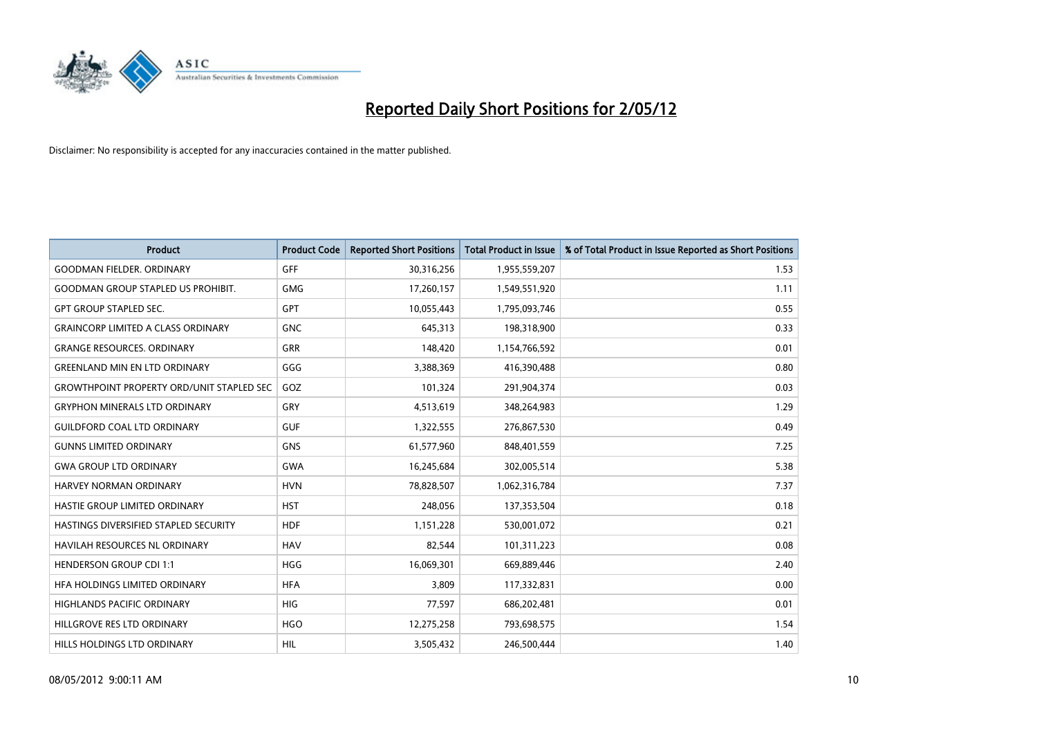

| <b>Product</b>                                   | <b>Product Code</b> | <b>Reported Short Positions</b> | <b>Total Product in Issue</b> | % of Total Product in Issue Reported as Short Positions |
|--------------------------------------------------|---------------------|---------------------------------|-------------------------------|---------------------------------------------------------|
| <b>GOODMAN FIELDER, ORDINARY</b>                 | <b>GFF</b>          | 30,316,256                      | 1,955,559,207                 | 1.53                                                    |
| <b>GOODMAN GROUP STAPLED US PROHIBIT.</b>        | <b>GMG</b>          | 17,260,157                      | 1,549,551,920                 | 1.11                                                    |
| <b>GPT GROUP STAPLED SEC.</b>                    | <b>GPT</b>          | 10,055,443                      | 1,795,093,746                 | 0.55                                                    |
| <b>GRAINCORP LIMITED A CLASS ORDINARY</b>        | <b>GNC</b>          | 645,313                         | 198,318,900                   | 0.33                                                    |
| <b>GRANGE RESOURCES, ORDINARY</b>                | <b>GRR</b>          | 148,420                         | 1,154,766,592                 | 0.01                                                    |
| <b>GREENLAND MIN EN LTD ORDINARY</b>             | GGG                 | 3,388,369                       | 416,390,488                   | 0.80                                                    |
| <b>GROWTHPOINT PROPERTY ORD/UNIT STAPLED SEC</b> | GOZ                 | 101,324                         | 291,904,374                   | 0.03                                                    |
| <b>GRYPHON MINERALS LTD ORDINARY</b>             | <b>GRY</b>          | 4,513,619                       | 348,264,983                   | 1.29                                                    |
| <b>GUILDFORD COAL LTD ORDINARY</b>               | <b>GUF</b>          | 1,322,555                       | 276,867,530                   | 0.49                                                    |
| <b>GUNNS LIMITED ORDINARY</b>                    | <b>GNS</b>          | 61,577,960                      | 848,401,559                   | 7.25                                                    |
| <b>GWA GROUP LTD ORDINARY</b>                    | <b>GWA</b>          | 16,245,684                      | 302,005,514                   | 5.38                                                    |
| HARVEY NORMAN ORDINARY                           | <b>HVN</b>          | 78,828,507                      | 1,062,316,784                 | 7.37                                                    |
| HASTIE GROUP LIMITED ORDINARY                    | <b>HST</b>          | 248,056                         | 137,353,504                   | 0.18                                                    |
| HASTINGS DIVERSIFIED STAPLED SECURITY            | <b>HDF</b>          | 1,151,228                       | 530,001,072                   | 0.21                                                    |
| <b>HAVILAH RESOURCES NL ORDINARY</b>             | <b>HAV</b>          | 82,544                          | 101,311,223                   | 0.08                                                    |
| <b>HENDERSON GROUP CDI 1:1</b>                   | <b>HGG</b>          | 16,069,301                      | 669,889,446                   | 2.40                                                    |
| HFA HOLDINGS LIMITED ORDINARY                    | <b>HFA</b>          | 3,809                           | 117,332,831                   | 0.00                                                    |
| HIGHLANDS PACIFIC ORDINARY                       | <b>HIG</b>          | 77,597                          | 686,202,481                   | 0.01                                                    |
| HILLGROVE RES LTD ORDINARY                       | <b>HGO</b>          | 12,275,258                      | 793,698,575                   | 1.54                                                    |
| HILLS HOLDINGS LTD ORDINARY                      | <b>HIL</b>          | 3,505,432                       | 246,500,444                   | 1.40                                                    |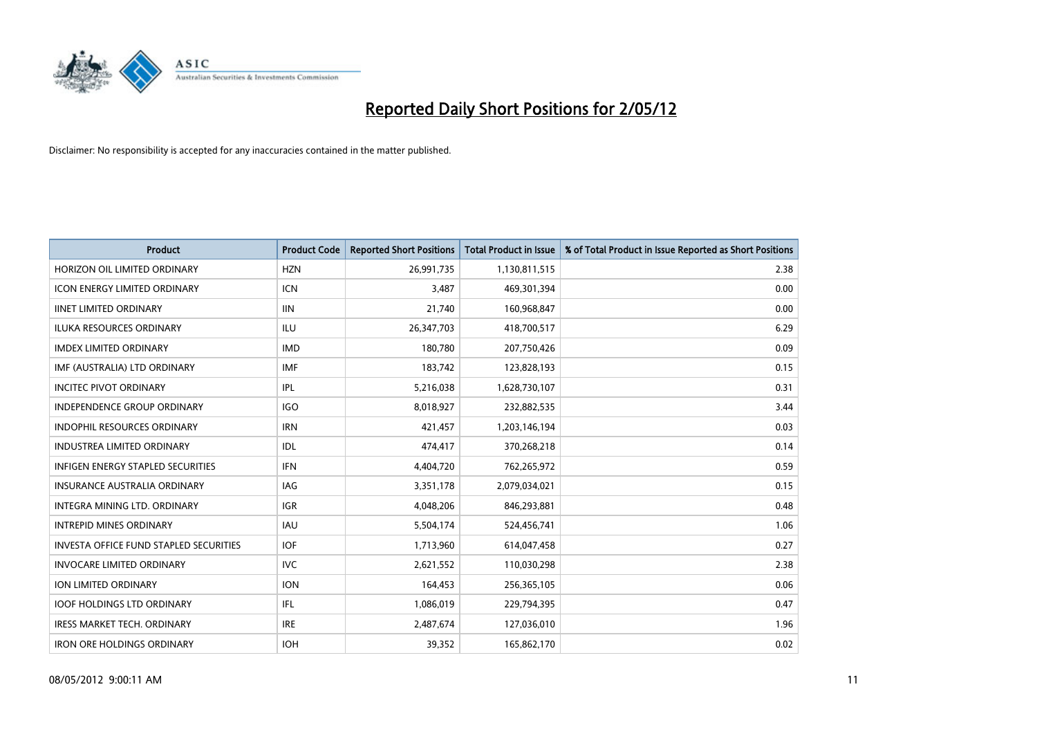

| Product                                       | <b>Product Code</b> | <b>Reported Short Positions</b> | <b>Total Product in Issue</b> | % of Total Product in Issue Reported as Short Positions |
|-----------------------------------------------|---------------------|---------------------------------|-------------------------------|---------------------------------------------------------|
| HORIZON OIL LIMITED ORDINARY                  | <b>HZN</b>          | 26,991,735                      | 1,130,811,515                 | 2.38                                                    |
| <b>ICON ENERGY LIMITED ORDINARY</b>           | <b>ICN</b>          | 3,487                           | 469,301,394                   | 0.00                                                    |
| <b>IINET LIMITED ORDINARY</b>                 | <b>IIN</b>          | 21,740                          | 160,968,847                   | 0.00                                                    |
| ILUKA RESOURCES ORDINARY                      | ILU                 | 26,347,703                      | 418,700,517                   | 6.29                                                    |
| <b>IMDEX LIMITED ORDINARY</b>                 | <b>IMD</b>          | 180.780                         | 207,750,426                   | 0.09                                                    |
| IMF (AUSTRALIA) LTD ORDINARY                  | <b>IMF</b>          | 183,742                         | 123,828,193                   | 0.15                                                    |
| <b>INCITEC PIVOT ORDINARY</b>                 | IPL                 | 5,216,038                       | 1,628,730,107                 | 0.31                                                    |
| <b>INDEPENDENCE GROUP ORDINARY</b>            | <b>IGO</b>          | 8,018,927                       | 232,882,535                   | 3.44                                                    |
| INDOPHIL RESOURCES ORDINARY                   | <b>IRN</b>          | 421,457                         | 1,203,146,194                 | 0.03                                                    |
| <b>INDUSTREA LIMITED ORDINARY</b>             | IDL                 | 474,417                         | 370,268,218                   | 0.14                                                    |
| <b>INFIGEN ENERGY STAPLED SECURITIES</b>      | <b>IFN</b>          | 4,404,720                       | 762,265,972                   | 0.59                                                    |
| <b>INSURANCE AUSTRALIA ORDINARY</b>           | IAG                 | 3,351,178                       | 2,079,034,021                 | 0.15                                                    |
| INTEGRA MINING LTD, ORDINARY                  | <b>IGR</b>          | 4,048,206                       | 846,293,881                   | 0.48                                                    |
| <b>INTREPID MINES ORDINARY</b>                | <b>IAU</b>          | 5,504,174                       | 524,456,741                   | 1.06                                                    |
| <b>INVESTA OFFICE FUND STAPLED SECURITIES</b> | <b>IOF</b>          | 1,713,960                       | 614,047,458                   | 0.27                                                    |
| <b>INVOCARE LIMITED ORDINARY</b>              | <b>IVC</b>          | 2,621,552                       | 110,030,298                   | 2.38                                                    |
| <b>ION LIMITED ORDINARY</b>                   | <b>ION</b>          | 164,453                         | 256,365,105                   | 0.06                                                    |
| <b>IOOF HOLDINGS LTD ORDINARY</b>             | IFL                 | 1,086,019                       | 229,794,395                   | 0.47                                                    |
| <b>IRESS MARKET TECH. ORDINARY</b>            | <b>IRE</b>          | 2,487,674                       | 127,036,010                   | 1.96                                                    |
| <b>IRON ORE HOLDINGS ORDINARY</b>             | <b>IOH</b>          | 39,352                          | 165,862,170                   | 0.02                                                    |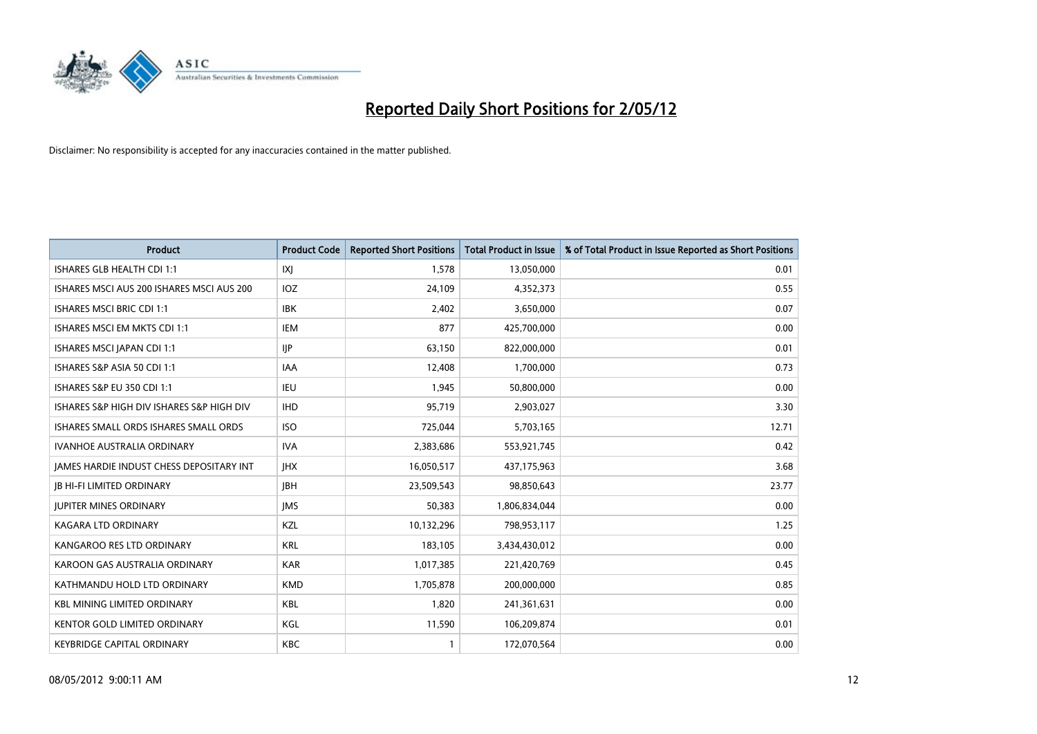

| Product                                   | <b>Product Code</b> | <b>Reported Short Positions</b> |                               |                                                         |
|-------------------------------------------|---------------------|---------------------------------|-------------------------------|---------------------------------------------------------|
|                                           |                     |                                 | <b>Total Product in Issue</b> | % of Total Product in Issue Reported as Short Positions |
| ISHARES GLB HEALTH CDI 1:1                | IXJ                 | 1,578                           | 13,050,000                    | 0.01                                                    |
| ISHARES MSCI AUS 200 ISHARES MSCI AUS 200 | <b>IOZ</b>          | 24,109                          | 4,352,373                     | 0.55                                                    |
| <b>ISHARES MSCI BRIC CDI 1:1</b>          | <b>IBK</b>          | 2,402                           | 3,650,000                     | 0.07                                                    |
| ISHARES MSCI EM MKTS CDI 1:1              | <b>IEM</b>          | 877                             | 425,700,000                   | 0.00                                                    |
| ISHARES MSCI JAPAN CDI 1:1                | <b>IIP</b>          | 63,150                          | 822,000,000                   | 0.01                                                    |
| ISHARES S&P ASIA 50 CDI 1:1               | <b>IAA</b>          | 12,408                          | 1,700,000                     | 0.73                                                    |
| <b>ISHARES S&amp;P EU 350 CDI 1:1</b>     | IEU                 | 1,945                           | 50,800,000                    | 0.00                                                    |
| ISHARES S&P HIGH DIV ISHARES S&P HIGH DIV | <b>IHD</b>          | 95,719                          | 2,903,027                     | 3.30                                                    |
| ISHARES SMALL ORDS ISHARES SMALL ORDS     | <b>ISO</b>          | 725,044                         | 5,703,165                     | 12.71                                                   |
| <b>IVANHOE AUSTRALIA ORDINARY</b>         | <b>IVA</b>          | 2,383,686                       | 553,921,745                   | 0.42                                                    |
| JAMES HARDIE INDUST CHESS DEPOSITARY INT  | <b>IHX</b>          | 16,050,517                      | 437,175,963                   | 3.68                                                    |
| <b>JB HI-FI LIMITED ORDINARY</b>          | <b>JBH</b>          | 23,509,543                      | 98,850,643                    | 23.77                                                   |
| <b>JUPITER MINES ORDINARY</b>             | <b>IMS</b>          | 50,383                          | 1,806,834,044                 | 0.00                                                    |
| <b>KAGARA LTD ORDINARY</b>                | KZL                 | 10,132,296                      | 798,953,117                   | 1.25                                                    |
| KANGAROO RES LTD ORDINARY                 | <b>KRL</b>          | 183,105                         | 3,434,430,012                 | 0.00                                                    |
| KAROON GAS AUSTRALIA ORDINARY             | <b>KAR</b>          | 1,017,385                       | 221,420,769                   | 0.45                                                    |
| KATHMANDU HOLD LTD ORDINARY               | <b>KMD</b>          | 1,705,878                       | 200,000,000                   | 0.85                                                    |
| <b>KBL MINING LIMITED ORDINARY</b>        | KBL                 | 1,820                           | 241,361,631                   | 0.00                                                    |
| <b>KENTOR GOLD LIMITED ORDINARY</b>       | KGL                 | 11,590                          | 106,209,874                   | 0.01                                                    |
| <b>KEYBRIDGE CAPITAL ORDINARY</b>         | <b>KBC</b>          | 1                               | 172,070,564                   | 0.00                                                    |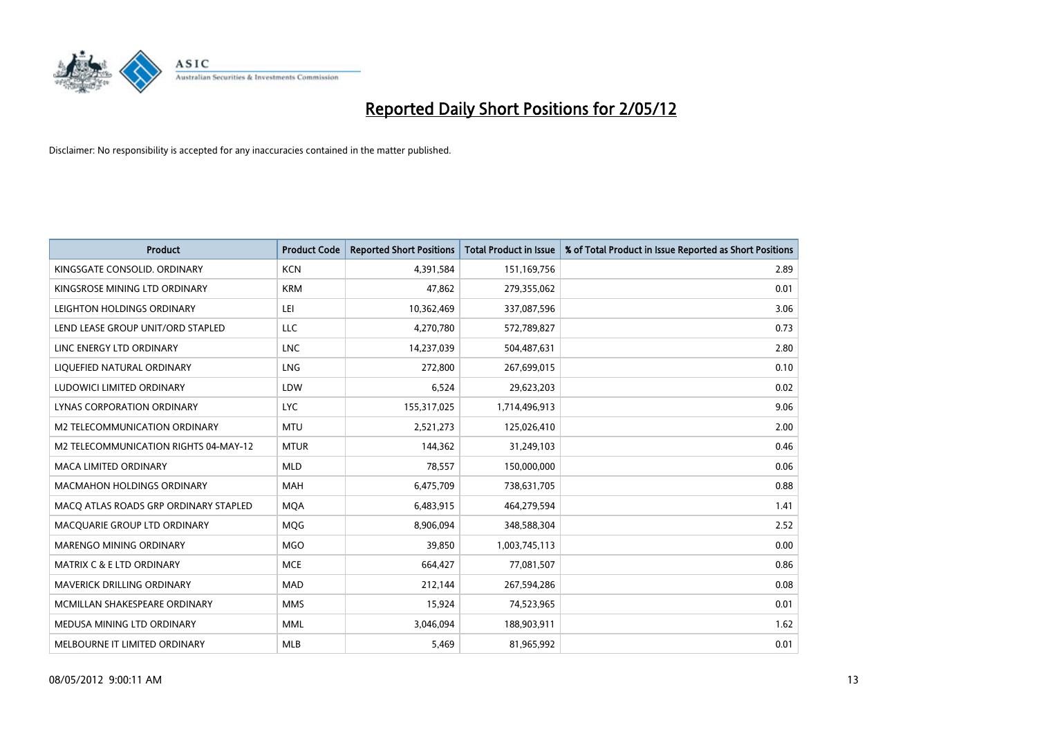

| <b>Product</b>                        | <b>Product Code</b> | <b>Reported Short Positions</b> | <b>Total Product in Issue</b> | % of Total Product in Issue Reported as Short Positions |
|---------------------------------------|---------------------|---------------------------------|-------------------------------|---------------------------------------------------------|
| KINGSGATE CONSOLID. ORDINARY          | <b>KCN</b>          | 4,391,584                       | 151,169,756                   | 2.89                                                    |
| KINGSROSE MINING LTD ORDINARY         | <b>KRM</b>          | 47,862                          | 279,355,062                   | 0.01                                                    |
| LEIGHTON HOLDINGS ORDINARY            | LEI                 | 10,362,469                      | 337,087,596                   | 3.06                                                    |
| LEND LEASE GROUP UNIT/ORD STAPLED     | <b>LLC</b>          | 4,270,780                       | 572,789,827                   | 0.73                                                    |
| LINC ENERGY LTD ORDINARY              | <b>LNC</b>          | 14,237,039                      | 504,487,631                   | 2.80                                                    |
| LIQUEFIED NATURAL ORDINARY            | LNG                 | 272,800                         | 267,699,015                   | 0.10                                                    |
| LUDOWICI LIMITED ORDINARY             | LDW                 | 6,524                           | 29,623,203                    | 0.02                                                    |
| LYNAS CORPORATION ORDINARY            | <b>LYC</b>          | 155,317,025                     | 1,714,496,913                 | 9.06                                                    |
| <b>M2 TELECOMMUNICATION ORDINARY</b>  | <b>MTU</b>          | 2,521,273                       | 125,026,410                   | 2.00                                                    |
| M2 TELECOMMUNICATION RIGHTS 04-MAY-12 | <b>MTUR</b>         | 144,362                         | 31,249,103                    | 0.46                                                    |
| MACA LIMITED ORDINARY                 | <b>MLD</b>          | 78,557                          | 150,000,000                   | 0.06                                                    |
| <b>MACMAHON HOLDINGS ORDINARY</b>     | MAH                 | 6,475,709                       | 738,631,705                   | 0.88                                                    |
| MACO ATLAS ROADS GRP ORDINARY STAPLED | <b>MOA</b>          | 6,483,915                       | 464,279,594                   | 1.41                                                    |
| MACQUARIE GROUP LTD ORDINARY          | <b>MOG</b>          | 8,906,094                       | 348,588,304                   | 2.52                                                    |
| MARENGO MINING ORDINARY               | <b>MGO</b>          | 39,850                          | 1,003,745,113                 | 0.00                                                    |
| <b>MATRIX C &amp; E LTD ORDINARY</b>  | <b>MCE</b>          | 664,427                         | 77,081,507                    | 0.86                                                    |
| MAVERICK DRILLING ORDINARY            | <b>MAD</b>          | 212,144                         | 267,594,286                   | 0.08                                                    |
| MCMILLAN SHAKESPEARE ORDINARY         | <b>MMS</b>          | 15,924                          | 74,523,965                    | 0.01                                                    |
| MEDUSA MINING LTD ORDINARY            | <b>MML</b>          | 3,046,094                       | 188,903,911                   | 1.62                                                    |
| MELBOURNE IT LIMITED ORDINARY         | <b>MLB</b>          | 5,469                           | 81,965,992                    | 0.01                                                    |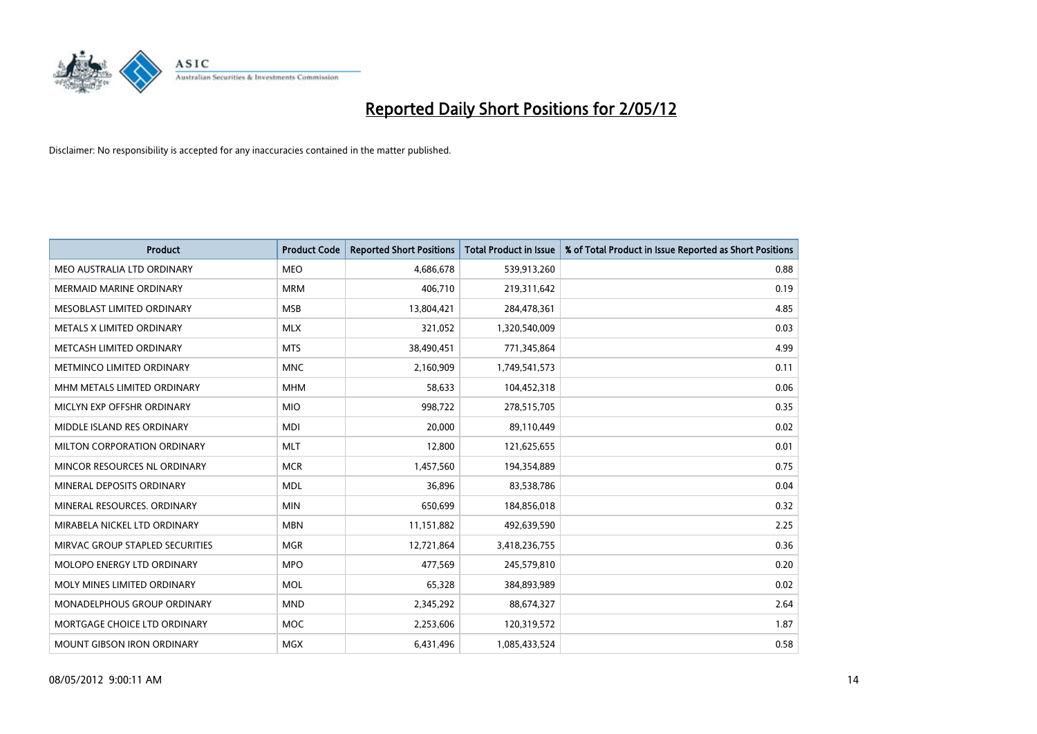

| <b>Product</b>                  | <b>Product Code</b> | <b>Reported Short Positions</b> | <b>Total Product in Issue</b> | % of Total Product in Issue Reported as Short Positions |
|---------------------------------|---------------------|---------------------------------|-------------------------------|---------------------------------------------------------|
| MEO AUSTRALIA LTD ORDINARY      | <b>MEO</b>          | 4,686,678                       | 539,913,260                   | 0.88                                                    |
| MERMAID MARINE ORDINARY         | <b>MRM</b>          | 406,710                         | 219,311,642                   | 0.19                                                    |
| MESOBLAST LIMITED ORDINARY      | <b>MSB</b>          | 13,804,421                      | 284,478,361                   | 4.85                                                    |
| METALS X LIMITED ORDINARY       | <b>MLX</b>          | 321,052                         | 1,320,540,009                 | 0.03                                                    |
| METCASH LIMITED ORDINARY        | <b>MTS</b>          | 38,490,451                      | 771,345,864                   | 4.99                                                    |
| METMINCO LIMITED ORDINARY       | <b>MNC</b>          | 2,160,909                       | 1,749,541,573                 | 0.11                                                    |
| MHM METALS LIMITED ORDINARY     | <b>MHM</b>          | 58,633                          | 104,452,318                   | 0.06                                                    |
| MICLYN EXP OFFSHR ORDINARY      | <b>MIO</b>          | 998,722                         | 278,515,705                   | 0.35                                                    |
| MIDDLE ISLAND RES ORDINARY      | <b>MDI</b>          | 20,000                          | 89,110,449                    | 0.02                                                    |
| MILTON CORPORATION ORDINARY     | <b>MLT</b>          | 12,800                          | 121,625,655                   | 0.01                                                    |
| MINCOR RESOURCES NL ORDINARY    | <b>MCR</b>          | 1,457,560                       | 194,354,889                   | 0.75                                                    |
| MINERAL DEPOSITS ORDINARY       | <b>MDL</b>          | 36,896                          | 83,538,786                    | 0.04                                                    |
| MINERAL RESOURCES. ORDINARY     | <b>MIN</b>          | 650,699                         | 184,856,018                   | 0.32                                                    |
| MIRABELA NICKEL LTD ORDINARY    | <b>MBN</b>          | 11,151,882                      | 492,639,590                   | 2.25                                                    |
| MIRVAC GROUP STAPLED SECURITIES | <b>MGR</b>          | 12,721,864                      | 3,418,236,755                 | 0.36                                                    |
| MOLOPO ENERGY LTD ORDINARY      | <b>MPO</b>          | 477,569                         | 245,579,810                   | 0.20                                                    |
| MOLY MINES LIMITED ORDINARY     | <b>MOL</b>          | 65,328                          | 384,893,989                   | 0.02                                                    |
| MONADELPHOUS GROUP ORDINARY     | <b>MND</b>          | 2,345,292                       | 88,674,327                    | 2.64                                                    |
| MORTGAGE CHOICE LTD ORDINARY    | <b>MOC</b>          | 2,253,606                       | 120,319,572                   | 1.87                                                    |
| MOUNT GIBSON IRON ORDINARY      | MGX                 | 6,431,496                       | 1,085,433,524                 | 0.58                                                    |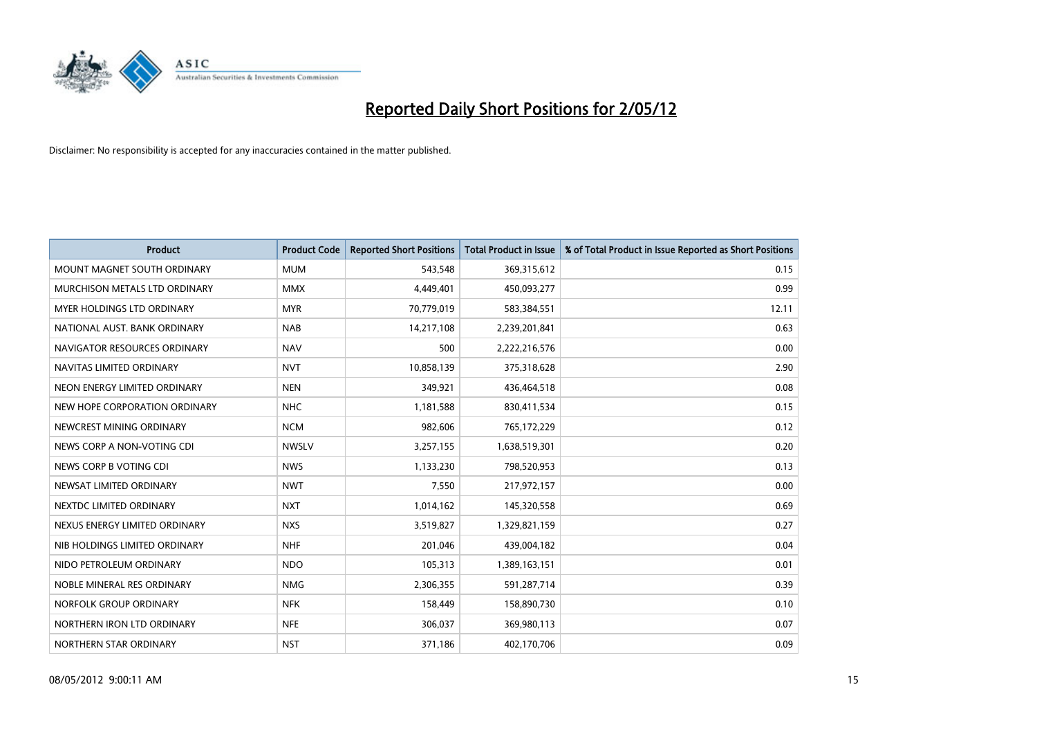

| <b>Product</b>                | <b>Product Code</b> | <b>Reported Short Positions</b> | <b>Total Product in Issue</b> | % of Total Product in Issue Reported as Short Positions |
|-------------------------------|---------------------|---------------------------------|-------------------------------|---------------------------------------------------------|
| MOUNT MAGNET SOUTH ORDINARY   | <b>MUM</b>          | 543,548                         | 369,315,612                   | 0.15                                                    |
| MURCHISON METALS LTD ORDINARY | <b>MMX</b>          | 4,449,401                       | 450,093,277                   | 0.99                                                    |
| MYER HOLDINGS LTD ORDINARY    | <b>MYR</b>          | 70,779,019                      | 583,384,551                   | 12.11                                                   |
| NATIONAL AUST, BANK ORDINARY  | <b>NAB</b>          | 14,217,108                      | 2,239,201,841                 | 0.63                                                    |
| NAVIGATOR RESOURCES ORDINARY  | <b>NAV</b>          | 500                             | 2,222,216,576                 | 0.00                                                    |
| NAVITAS LIMITED ORDINARY      | <b>NVT</b>          | 10,858,139                      | 375,318,628                   | 2.90                                                    |
| NEON ENERGY LIMITED ORDINARY  | <b>NEN</b>          | 349,921                         | 436,464,518                   | 0.08                                                    |
| NEW HOPE CORPORATION ORDINARY | <b>NHC</b>          | 1,181,588                       | 830,411,534                   | 0.15                                                    |
| NEWCREST MINING ORDINARY      | <b>NCM</b>          | 982,606                         | 765,172,229                   | 0.12                                                    |
| NEWS CORP A NON-VOTING CDI    | <b>NWSLV</b>        | 3,257,155                       | 1,638,519,301                 | 0.20                                                    |
| NEWS CORP B VOTING CDI        | <b>NWS</b>          | 1,133,230                       | 798,520,953                   | 0.13                                                    |
| NEWSAT LIMITED ORDINARY       | <b>NWT</b>          | 7,550                           | 217,972,157                   | 0.00                                                    |
| NEXTDC LIMITED ORDINARY       | <b>NXT</b>          | 1,014,162                       | 145,320,558                   | 0.69                                                    |
| NEXUS ENERGY LIMITED ORDINARY | <b>NXS</b>          | 3,519,827                       | 1,329,821,159                 | 0.27                                                    |
| NIB HOLDINGS LIMITED ORDINARY | <b>NHF</b>          | 201,046                         | 439,004,182                   | 0.04                                                    |
| NIDO PETROLEUM ORDINARY       | <b>NDO</b>          | 105,313                         | 1,389,163,151                 | 0.01                                                    |
| NOBLE MINERAL RES ORDINARY    | <b>NMG</b>          | 2,306,355                       | 591,287,714                   | 0.39                                                    |
| NORFOLK GROUP ORDINARY        | <b>NFK</b>          | 158,449                         | 158,890,730                   | 0.10                                                    |
| NORTHERN IRON LTD ORDINARY    | <b>NFE</b>          | 306,037                         | 369,980,113                   | 0.07                                                    |
| NORTHERN STAR ORDINARY        | <b>NST</b>          | 371,186                         | 402,170,706                   | 0.09                                                    |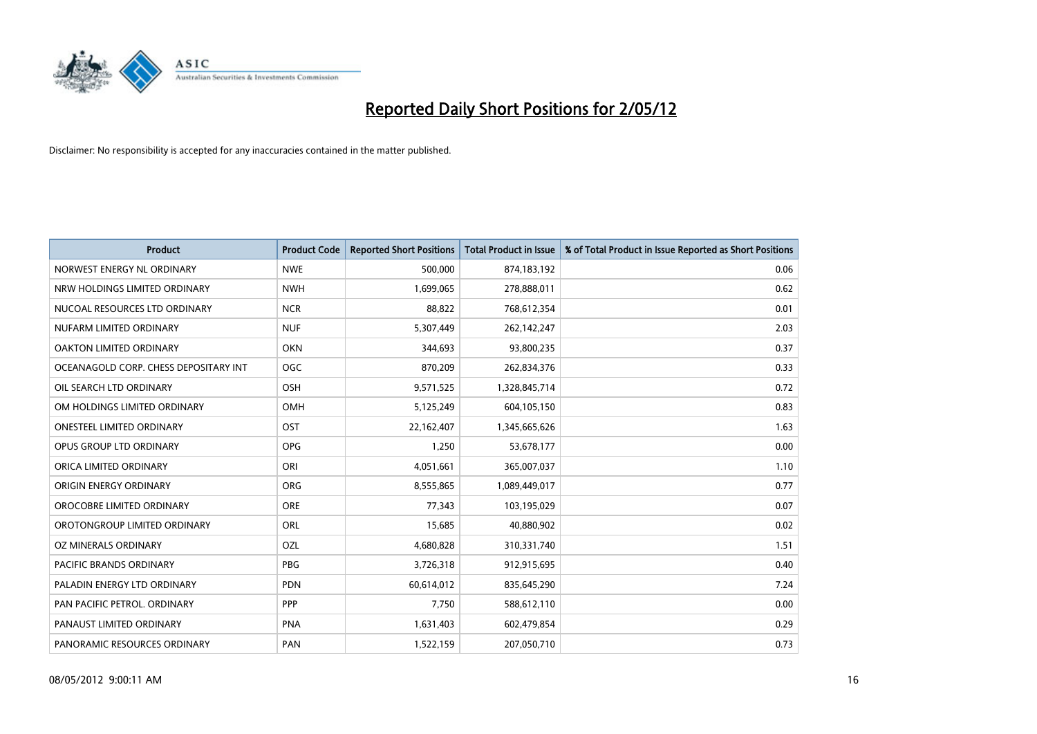

| <b>Product</b>                        | <b>Product Code</b> | <b>Reported Short Positions</b> | <b>Total Product in Issue</b> | % of Total Product in Issue Reported as Short Positions |
|---------------------------------------|---------------------|---------------------------------|-------------------------------|---------------------------------------------------------|
| NORWEST ENERGY NL ORDINARY            | <b>NWE</b>          | 500,000                         | 874,183,192                   | 0.06                                                    |
| NRW HOLDINGS LIMITED ORDINARY         | <b>NWH</b>          | 1,699,065                       | 278,888,011                   | 0.62                                                    |
| NUCOAL RESOURCES LTD ORDINARY         | <b>NCR</b>          | 88,822                          | 768,612,354                   | 0.01                                                    |
| NUFARM LIMITED ORDINARY               | <b>NUF</b>          | 5,307,449                       | 262,142,247                   | 2.03                                                    |
| OAKTON LIMITED ORDINARY               | <b>OKN</b>          | 344,693                         | 93,800,235                    | 0.37                                                    |
| OCEANAGOLD CORP. CHESS DEPOSITARY INT | <b>OGC</b>          | 870,209                         | 262,834,376                   | 0.33                                                    |
| OIL SEARCH LTD ORDINARY               | OSH                 | 9,571,525                       | 1,328,845,714                 | 0.72                                                    |
| OM HOLDINGS LIMITED ORDINARY          | OMH                 | 5,125,249                       | 604,105,150                   | 0.83                                                    |
| <b>ONESTEEL LIMITED ORDINARY</b>      | OST                 | 22,162,407                      | 1,345,665,626                 | 1.63                                                    |
| OPUS GROUP LTD ORDINARY               | OPG                 | 1,250                           | 53,678,177                    | 0.00                                                    |
| ORICA LIMITED ORDINARY                | ORI                 | 4,051,661                       | 365,007,037                   | 1.10                                                    |
| ORIGIN ENERGY ORDINARY                | <b>ORG</b>          | 8,555,865                       | 1,089,449,017                 | 0.77                                                    |
| OROCOBRE LIMITED ORDINARY             | <b>ORE</b>          | 77,343                          | 103,195,029                   | 0.07                                                    |
| OROTONGROUP LIMITED ORDINARY          | ORL                 | 15,685                          | 40,880,902                    | 0.02                                                    |
| OZ MINERALS ORDINARY                  | OZL                 | 4,680,828                       | 310,331,740                   | 1.51                                                    |
| PACIFIC BRANDS ORDINARY               | <b>PBG</b>          | 3,726,318                       | 912,915,695                   | 0.40                                                    |
| PALADIN ENERGY LTD ORDINARY           | <b>PDN</b>          | 60,614,012                      | 835,645,290                   | 7.24                                                    |
| PAN PACIFIC PETROL. ORDINARY          | <b>PPP</b>          | 7,750                           | 588,612,110                   | 0.00                                                    |
| PANAUST LIMITED ORDINARY              | <b>PNA</b>          | 1,631,403                       | 602,479,854                   | 0.29                                                    |
| PANORAMIC RESOURCES ORDINARY          | PAN                 | 1,522,159                       | 207,050,710                   | 0.73                                                    |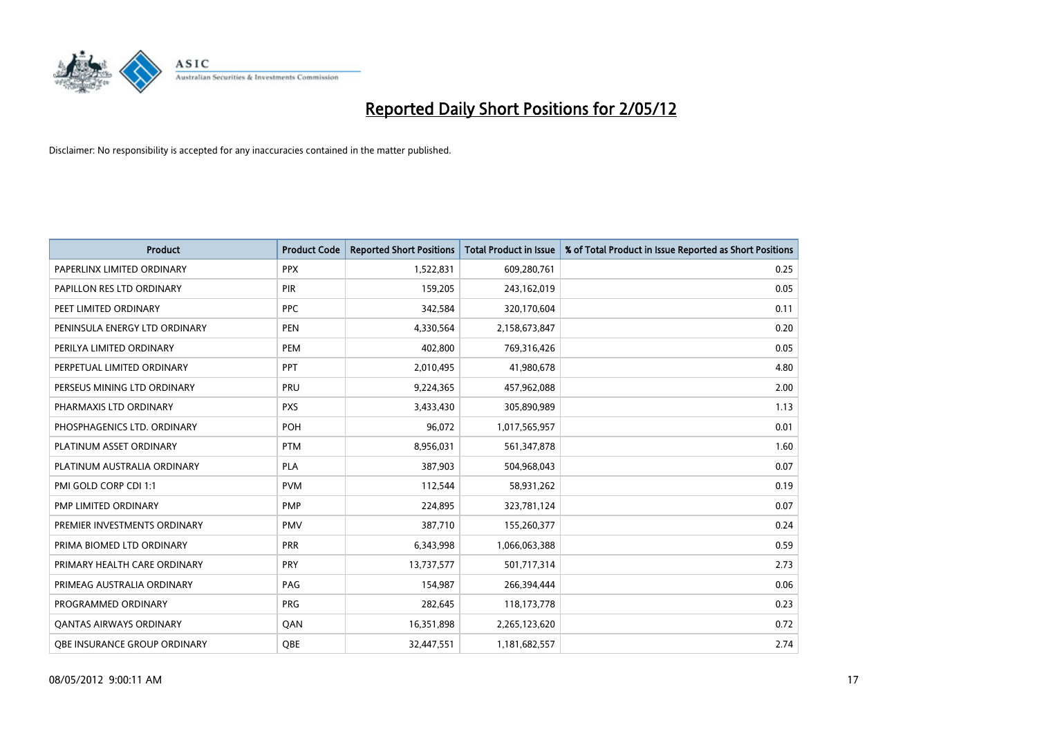

| <b>Product</b>                      | <b>Product Code</b> | <b>Reported Short Positions</b> | <b>Total Product in Issue</b> | % of Total Product in Issue Reported as Short Positions |
|-------------------------------------|---------------------|---------------------------------|-------------------------------|---------------------------------------------------------|
| PAPERLINX LIMITED ORDINARY          | <b>PPX</b>          | 1,522,831                       | 609,280,761                   | 0.25                                                    |
| PAPILLON RES LTD ORDINARY           | <b>PIR</b>          | 159,205                         | 243,162,019                   | 0.05                                                    |
| PEET LIMITED ORDINARY               | <b>PPC</b>          | 342,584                         | 320,170,604                   | 0.11                                                    |
| PENINSULA ENERGY LTD ORDINARY       | <b>PEN</b>          | 4,330,564                       | 2,158,673,847                 | 0.20                                                    |
| PERILYA LIMITED ORDINARY            | PEM                 | 402,800                         | 769,316,426                   | 0.05                                                    |
| PERPETUAL LIMITED ORDINARY          | PPT                 | 2,010,495                       | 41,980,678                    | 4.80                                                    |
| PERSEUS MINING LTD ORDINARY         | PRU                 | 9,224,365                       | 457,962,088                   | 2.00                                                    |
| PHARMAXIS LTD ORDINARY              | <b>PXS</b>          | 3,433,430                       | 305,890,989                   | 1.13                                                    |
| PHOSPHAGENICS LTD. ORDINARY         | <b>POH</b>          | 96,072                          | 1,017,565,957                 | 0.01                                                    |
| PLATINUM ASSET ORDINARY             | <b>PTM</b>          | 8,956,031                       | 561,347,878                   | 1.60                                                    |
| PLATINUM AUSTRALIA ORDINARY         | <b>PLA</b>          | 387,903                         | 504,968,043                   | 0.07                                                    |
| PMI GOLD CORP CDI 1:1               | <b>PVM</b>          | 112,544                         | 58,931,262                    | 0.19                                                    |
| PMP LIMITED ORDINARY                | <b>PMP</b>          | 224,895                         | 323,781,124                   | 0.07                                                    |
| PREMIER INVESTMENTS ORDINARY        | <b>PMV</b>          | 387,710                         | 155,260,377                   | 0.24                                                    |
| PRIMA BIOMED LTD ORDINARY           | <b>PRR</b>          | 6,343,998                       | 1,066,063,388                 | 0.59                                                    |
| PRIMARY HEALTH CARE ORDINARY        | <b>PRY</b>          | 13,737,577                      | 501,717,314                   | 2.73                                                    |
| PRIMEAG AUSTRALIA ORDINARY          | PAG                 | 154,987                         | 266,394,444                   | 0.06                                                    |
| PROGRAMMED ORDINARY                 | <b>PRG</b>          | 282,645                         | 118,173,778                   | 0.23                                                    |
| <b>QANTAS AIRWAYS ORDINARY</b>      | QAN                 | 16,351,898                      | 2,265,123,620                 | 0.72                                                    |
| <b>OBE INSURANCE GROUP ORDINARY</b> | <b>OBE</b>          | 32,447,551                      | 1,181,682,557                 | 2.74                                                    |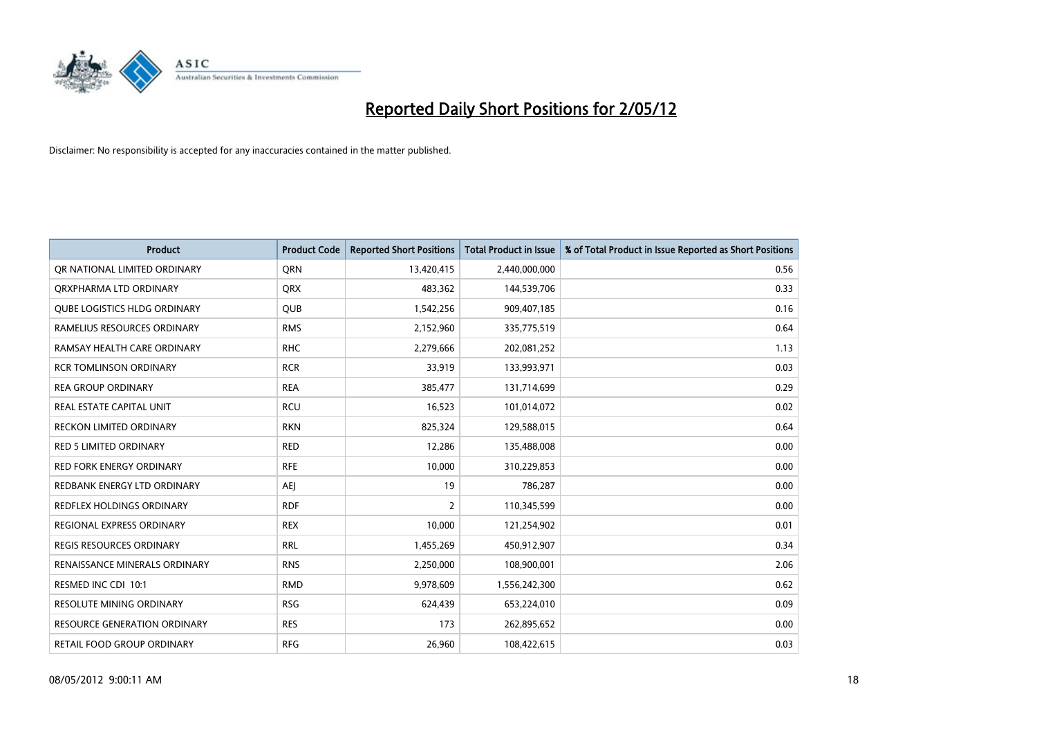

| <b>Product</b>                      | <b>Product Code</b> | <b>Reported Short Positions</b> | <b>Total Product in Issue</b> | % of Total Product in Issue Reported as Short Positions |
|-------------------------------------|---------------------|---------------------------------|-------------------------------|---------------------------------------------------------|
| OR NATIONAL LIMITED ORDINARY        | <b>ORN</b>          | 13,420,415                      | 2,440,000,000                 | 0.56                                                    |
| ORXPHARMA LTD ORDINARY              | <b>QRX</b>          | 483,362                         | 144,539,706                   | 0.33                                                    |
| QUBE LOGISTICS HLDG ORDINARY        | <b>QUB</b>          | 1,542,256                       | 909,407,185                   | 0.16                                                    |
| RAMELIUS RESOURCES ORDINARY         | <b>RMS</b>          | 2,152,960                       | 335,775,519                   | 0.64                                                    |
| RAMSAY HEALTH CARE ORDINARY         | <b>RHC</b>          | 2,279,666                       | 202,081,252                   | 1.13                                                    |
| <b>RCR TOMLINSON ORDINARY</b>       | <b>RCR</b>          | 33,919                          | 133,993,971                   | 0.03                                                    |
| <b>REA GROUP ORDINARY</b>           | <b>REA</b>          | 385,477                         | 131,714,699                   | 0.29                                                    |
| REAL ESTATE CAPITAL UNIT            | <b>RCU</b>          | 16,523                          | 101,014,072                   | 0.02                                                    |
| <b>RECKON LIMITED ORDINARY</b>      | <b>RKN</b>          | 825,324                         | 129,588,015                   | 0.64                                                    |
| <b>RED 5 LIMITED ORDINARY</b>       | <b>RED</b>          | 12,286                          | 135,488,008                   | 0.00                                                    |
| RED FORK ENERGY ORDINARY            | <b>RFE</b>          | 10,000                          | 310,229,853                   | 0.00                                                    |
| REDBANK ENERGY LTD ORDINARY         | AEJ                 | 19                              | 786,287                       | 0.00                                                    |
| REDFLEX HOLDINGS ORDINARY           | <b>RDF</b>          | $\overline{2}$                  | 110,345,599                   | 0.00                                                    |
| REGIONAL EXPRESS ORDINARY           | <b>REX</b>          | 10,000                          | 121,254,902                   | 0.01                                                    |
| <b>REGIS RESOURCES ORDINARY</b>     | <b>RRL</b>          | 1,455,269                       | 450,912,907                   | 0.34                                                    |
| RENAISSANCE MINERALS ORDINARY       | <b>RNS</b>          | 2,250,000                       | 108,900,001                   | 2.06                                                    |
| RESMED INC CDI 10:1                 | <b>RMD</b>          | 9,978,609                       | 1,556,242,300                 | 0.62                                                    |
| <b>RESOLUTE MINING ORDINARY</b>     | <b>RSG</b>          | 624,439                         | 653,224,010                   | 0.09                                                    |
| <b>RESOURCE GENERATION ORDINARY</b> | <b>RES</b>          | 173                             | 262,895,652                   | 0.00                                                    |
| RETAIL FOOD GROUP ORDINARY          | <b>RFG</b>          | 26,960                          | 108,422,615                   | 0.03                                                    |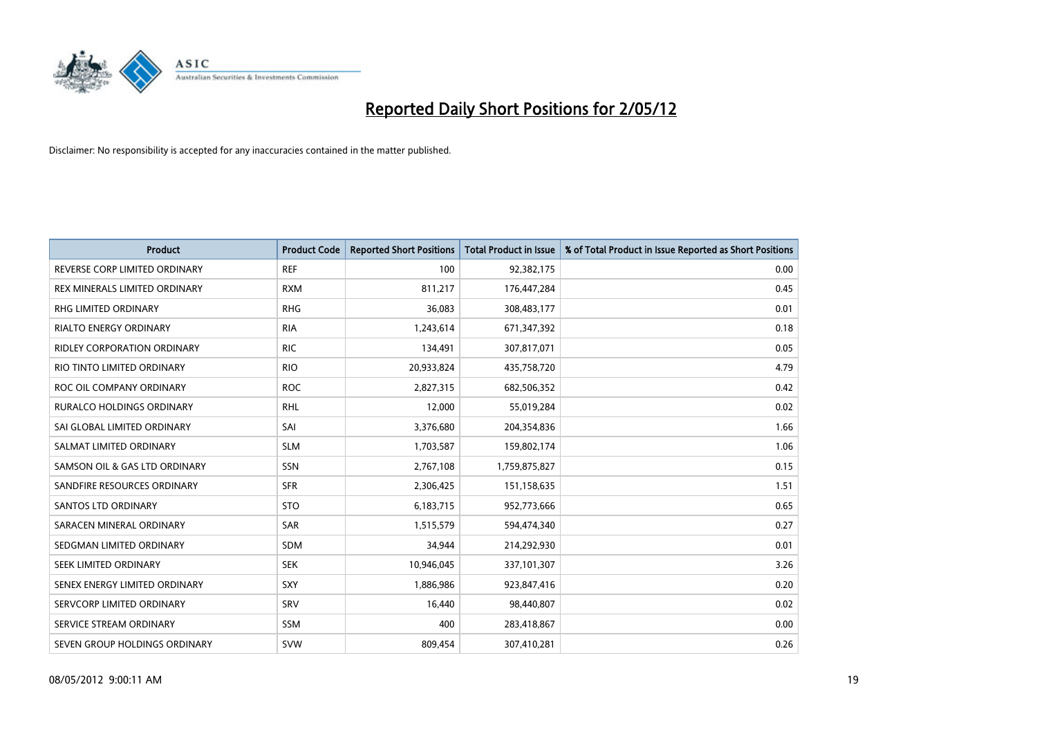

| <b>Product</b>                | <b>Product Code</b> | <b>Reported Short Positions</b> | <b>Total Product in Issue</b> | % of Total Product in Issue Reported as Short Positions |
|-------------------------------|---------------------|---------------------------------|-------------------------------|---------------------------------------------------------|
| REVERSE CORP LIMITED ORDINARY | <b>REF</b>          | 100                             | 92,382,175                    | 0.00                                                    |
| REX MINERALS LIMITED ORDINARY | <b>RXM</b>          | 811,217                         | 176,447,284                   | 0.45                                                    |
| RHG LIMITED ORDINARY          | <b>RHG</b>          | 36,083                          | 308,483,177                   | 0.01                                                    |
| RIALTO ENERGY ORDINARY        | <b>RIA</b>          | 1,243,614                       | 671,347,392                   | 0.18                                                    |
| RIDLEY CORPORATION ORDINARY   | <b>RIC</b>          | 134,491                         | 307,817,071                   | 0.05                                                    |
| RIO TINTO LIMITED ORDINARY    | <b>RIO</b>          | 20,933,824                      | 435,758,720                   | 4.79                                                    |
| ROC OIL COMPANY ORDINARY      | <b>ROC</b>          | 2,827,315                       | 682,506,352                   | 0.42                                                    |
| RURALCO HOLDINGS ORDINARY     | <b>RHL</b>          | 12,000                          | 55,019,284                    | 0.02                                                    |
| SAI GLOBAL LIMITED ORDINARY   | SAI                 | 3,376,680                       | 204,354,836                   | 1.66                                                    |
| SALMAT LIMITED ORDINARY       | <b>SLM</b>          | 1,703,587                       | 159,802,174                   | 1.06                                                    |
| SAMSON OIL & GAS LTD ORDINARY | SSN                 | 2,767,108                       | 1,759,875,827                 | 0.15                                                    |
| SANDFIRE RESOURCES ORDINARY   | <b>SFR</b>          | 2,306,425                       | 151,158,635                   | 1.51                                                    |
| <b>SANTOS LTD ORDINARY</b>    | <b>STO</b>          | 6,183,715                       | 952,773,666                   | 0.65                                                    |
| SARACEN MINERAL ORDINARY      | SAR                 | 1,515,579                       | 594,474,340                   | 0.27                                                    |
| SEDGMAN LIMITED ORDINARY      | <b>SDM</b>          | 34,944                          | 214,292,930                   | 0.01                                                    |
| SEEK LIMITED ORDINARY         | <b>SEK</b>          | 10,946,045                      | 337,101,307                   | 3.26                                                    |
| SENEX ENERGY LIMITED ORDINARY | SXY                 | 1,886,986                       | 923,847,416                   | 0.20                                                    |
| SERVCORP LIMITED ORDINARY     | <b>SRV</b>          | 16,440                          | 98,440,807                    | 0.02                                                    |
| SERVICE STREAM ORDINARY       | <b>SSM</b>          | 400                             | 283,418,867                   | 0.00                                                    |
| SEVEN GROUP HOLDINGS ORDINARY | <b>SVW</b>          | 809,454                         | 307,410,281                   | 0.26                                                    |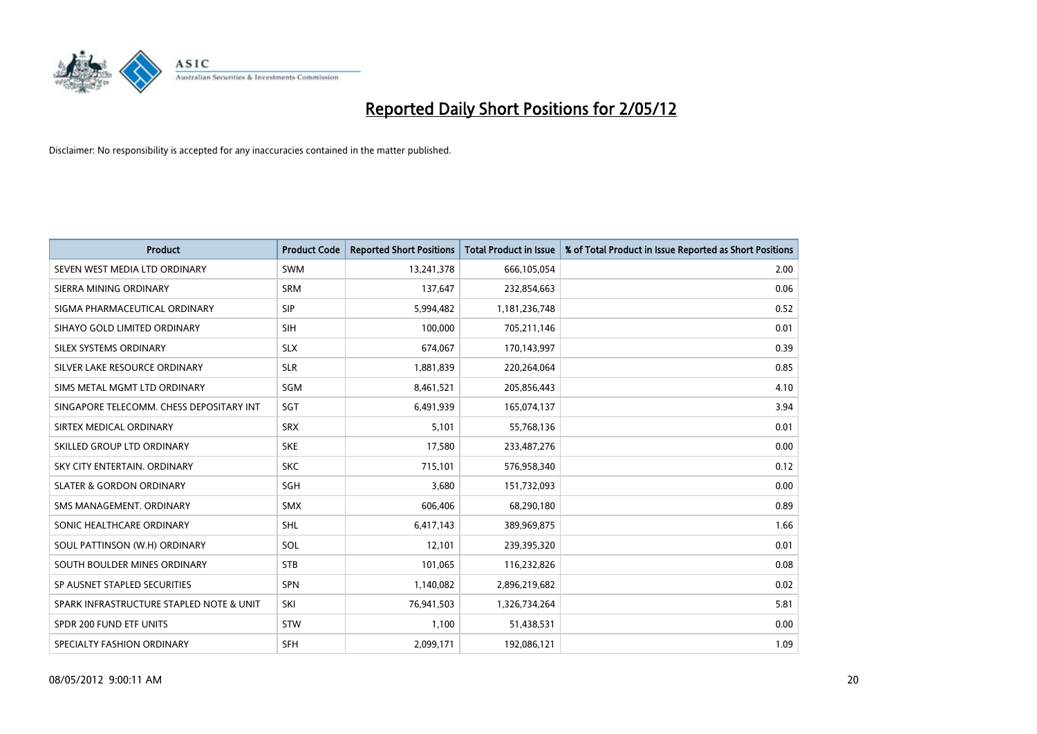

| <b>Product</b>                           | <b>Product Code</b> | <b>Reported Short Positions</b> | <b>Total Product in Issue</b> | % of Total Product in Issue Reported as Short Positions |
|------------------------------------------|---------------------|---------------------------------|-------------------------------|---------------------------------------------------------|
| SEVEN WEST MEDIA LTD ORDINARY            | <b>SWM</b>          | 13,241,378                      | 666,105,054                   | 2.00                                                    |
| SIERRA MINING ORDINARY                   | <b>SRM</b>          | 137,647                         | 232,854,663                   | 0.06                                                    |
| SIGMA PHARMACEUTICAL ORDINARY            | <b>SIP</b>          | 5,994,482                       | 1,181,236,748                 | 0.52                                                    |
| SIHAYO GOLD LIMITED ORDINARY             | SIH                 | 100,000                         | 705,211,146                   | 0.01                                                    |
| SILEX SYSTEMS ORDINARY                   | <b>SLX</b>          | 674,067                         | 170,143,997                   | 0.39                                                    |
| SILVER LAKE RESOURCE ORDINARY            | <b>SLR</b>          | 1,881,839                       | 220,264,064                   | 0.85                                                    |
| SIMS METAL MGMT LTD ORDINARY             | SGM                 | 8,461,521                       | 205,856,443                   | 4.10                                                    |
| SINGAPORE TELECOMM. CHESS DEPOSITARY INT | SGT                 | 6,491,939                       | 165,074,137                   | 3.94                                                    |
| SIRTEX MEDICAL ORDINARY                  | <b>SRX</b>          | 5,101                           | 55,768,136                    | 0.01                                                    |
| SKILLED GROUP LTD ORDINARY               | <b>SKE</b>          | 17,580                          | 233,487,276                   | 0.00                                                    |
| SKY CITY ENTERTAIN. ORDINARY             | <b>SKC</b>          | 715,101                         | 576,958,340                   | 0.12                                                    |
| <b>SLATER &amp; GORDON ORDINARY</b>      | SGH                 | 3,680                           | 151,732,093                   | 0.00                                                    |
| SMS MANAGEMENT, ORDINARY                 | <b>SMX</b>          | 606,406                         | 68,290,180                    | 0.89                                                    |
| SONIC HEALTHCARE ORDINARY                | <b>SHL</b>          | 6,417,143                       | 389,969,875                   | 1.66                                                    |
| SOUL PATTINSON (W.H) ORDINARY            | SOL                 | 12,101                          | 239,395,320                   | 0.01                                                    |
| SOUTH BOULDER MINES ORDINARY             | <b>STB</b>          | 101,065                         | 116,232,826                   | 0.08                                                    |
| SP AUSNET STAPLED SECURITIES             | <b>SPN</b>          | 1,140,082                       | 2,896,219,682                 | 0.02                                                    |
| SPARK INFRASTRUCTURE STAPLED NOTE & UNIT | SKI                 | 76,941,503                      | 1,326,734,264                 | 5.81                                                    |
| SPDR 200 FUND ETF UNITS                  | <b>STW</b>          | 1,100                           | 51,438,531                    | 0.00                                                    |
| SPECIALTY FASHION ORDINARY               | <b>SFH</b>          | 2,099,171                       | 192,086,121                   | 1.09                                                    |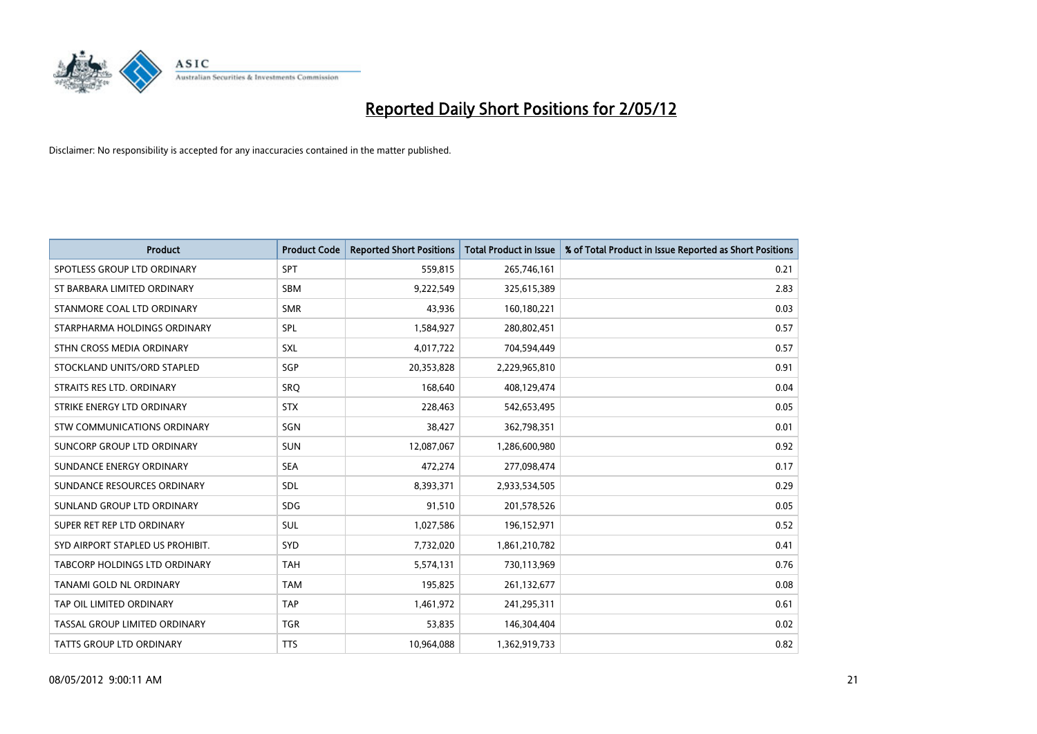

| <b>Product</b>                   | <b>Product Code</b> | <b>Reported Short Positions</b> | <b>Total Product in Issue</b> | % of Total Product in Issue Reported as Short Positions |
|----------------------------------|---------------------|---------------------------------|-------------------------------|---------------------------------------------------------|
| SPOTLESS GROUP LTD ORDINARY      | <b>SPT</b>          | 559,815                         | 265,746,161                   | 0.21                                                    |
| ST BARBARA LIMITED ORDINARY      | SBM                 | 9,222,549                       | 325,615,389                   | 2.83                                                    |
| STANMORE COAL LTD ORDINARY       | <b>SMR</b>          | 43,936                          | 160,180,221                   | 0.03                                                    |
| STARPHARMA HOLDINGS ORDINARY     | SPL                 | 1,584,927                       | 280,802,451                   | 0.57                                                    |
| STHN CROSS MEDIA ORDINARY        | <b>SXL</b>          | 4,017,722                       | 704,594,449                   | 0.57                                                    |
| STOCKLAND UNITS/ORD STAPLED      | SGP                 | 20,353,828                      | 2,229,965,810                 | 0.91                                                    |
| STRAITS RES LTD. ORDINARY        | <b>SRQ</b>          | 168,640                         | 408,129,474                   | 0.04                                                    |
| STRIKE ENERGY LTD ORDINARY       | <b>STX</b>          | 228,463                         | 542,653,495                   | 0.05                                                    |
| STW COMMUNICATIONS ORDINARY      | SGN                 | 38,427                          | 362,798,351                   | 0.01                                                    |
| SUNCORP GROUP LTD ORDINARY       | <b>SUN</b>          | 12,087,067                      | 1,286,600,980                 | 0.92                                                    |
| SUNDANCE ENERGY ORDINARY         | <b>SEA</b>          | 472,274                         | 277,098,474                   | 0.17                                                    |
| SUNDANCE RESOURCES ORDINARY      | SDL                 | 8,393,371                       | 2,933,534,505                 | 0.29                                                    |
| SUNLAND GROUP LTD ORDINARY       | <b>SDG</b>          | 91,510                          | 201,578,526                   | 0.05                                                    |
| SUPER RET REP LTD ORDINARY       | SUL                 | 1,027,586                       | 196,152,971                   | 0.52                                                    |
| SYD AIRPORT STAPLED US PROHIBIT. | <b>SYD</b>          | 7,732,020                       | 1,861,210,782                 | 0.41                                                    |
| TABCORP HOLDINGS LTD ORDINARY    | <b>TAH</b>          | 5,574,131                       | 730,113,969                   | 0.76                                                    |
| TANAMI GOLD NL ORDINARY          | <b>TAM</b>          | 195,825                         | 261,132,677                   | 0.08                                                    |
| TAP OIL LIMITED ORDINARY         | <b>TAP</b>          | 1,461,972                       | 241,295,311                   | 0.61                                                    |
| TASSAL GROUP LIMITED ORDINARY    | <b>TGR</b>          | 53,835                          | 146,304,404                   | 0.02                                                    |
| <b>TATTS GROUP LTD ORDINARY</b>  | <b>TTS</b>          | 10,964,088                      | 1,362,919,733                 | 0.82                                                    |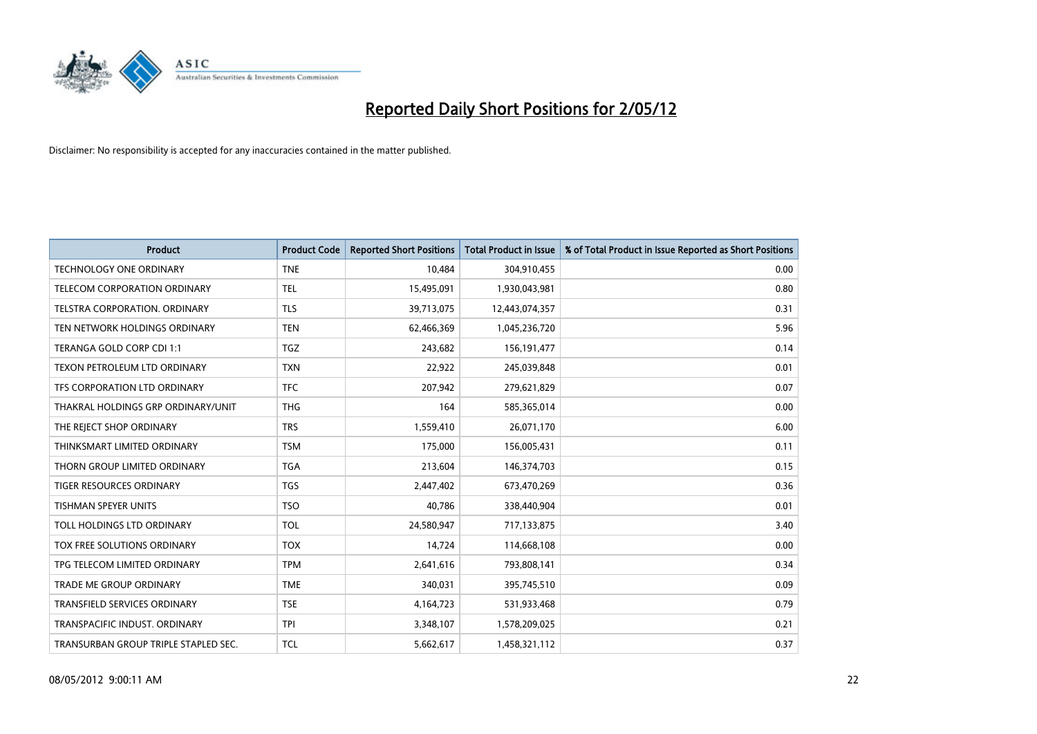

| <b>Product</b>                       | <b>Product Code</b> | <b>Reported Short Positions</b> | <b>Total Product in Issue</b> | % of Total Product in Issue Reported as Short Positions |
|--------------------------------------|---------------------|---------------------------------|-------------------------------|---------------------------------------------------------|
| <b>TECHNOLOGY ONE ORDINARY</b>       | <b>TNE</b>          | 10,484                          | 304,910,455                   | 0.00                                                    |
| TELECOM CORPORATION ORDINARY         | <b>TEL</b>          | 15,495,091                      | 1,930,043,981                 | 0.80                                                    |
| <b>TELSTRA CORPORATION, ORDINARY</b> | <b>TLS</b>          | 39,713,075                      | 12,443,074,357                | 0.31                                                    |
| TEN NETWORK HOLDINGS ORDINARY        | <b>TEN</b>          | 62,466,369                      | 1,045,236,720                 | 5.96                                                    |
| TERANGA GOLD CORP CDI 1:1            | <b>TGZ</b>          | 243,682                         | 156, 191, 477                 | 0.14                                                    |
| TEXON PETROLEUM LTD ORDINARY         | <b>TXN</b>          | 22,922                          | 245,039,848                   | 0.01                                                    |
| TFS CORPORATION LTD ORDINARY         | <b>TFC</b>          | 207,942                         | 279,621,829                   | 0.07                                                    |
| THAKRAL HOLDINGS GRP ORDINARY/UNIT   | <b>THG</b>          | 164                             | 585,365,014                   | 0.00                                                    |
| THE REJECT SHOP ORDINARY             | <b>TRS</b>          | 1,559,410                       | 26,071,170                    | 6.00                                                    |
| THINKSMART LIMITED ORDINARY          | <b>TSM</b>          | 175,000                         | 156,005,431                   | 0.11                                                    |
| THORN GROUP LIMITED ORDINARY         | <b>TGA</b>          | 213,604                         | 146,374,703                   | 0.15                                                    |
| <b>TIGER RESOURCES ORDINARY</b>      | <b>TGS</b>          | 2,447,402                       | 673,470,269                   | 0.36                                                    |
| <b>TISHMAN SPEYER UNITS</b>          | <b>TSO</b>          | 40,786                          | 338,440,904                   | 0.01                                                    |
| TOLL HOLDINGS LTD ORDINARY           | TOL                 | 24,580,947                      | 717,133,875                   | 3.40                                                    |
| <b>TOX FREE SOLUTIONS ORDINARY</b>   | <b>TOX</b>          | 14,724                          | 114,668,108                   | 0.00                                                    |
| TPG TELECOM LIMITED ORDINARY         | <b>TPM</b>          | 2,641,616                       | 793,808,141                   | 0.34                                                    |
| <b>TRADE ME GROUP ORDINARY</b>       | <b>TME</b>          | 340,031                         | 395,745,510                   | 0.09                                                    |
| TRANSFIELD SERVICES ORDINARY         | <b>TSE</b>          | 4,164,723                       | 531,933,468                   | 0.79                                                    |
| TRANSPACIFIC INDUST, ORDINARY        | <b>TPI</b>          | 3,348,107                       | 1,578,209,025                 | 0.21                                                    |
| TRANSURBAN GROUP TRIPLE STAPLED SEC. | TCL                 | 5,662,617                       | 1,458,321,112                 | 0.37                                                    |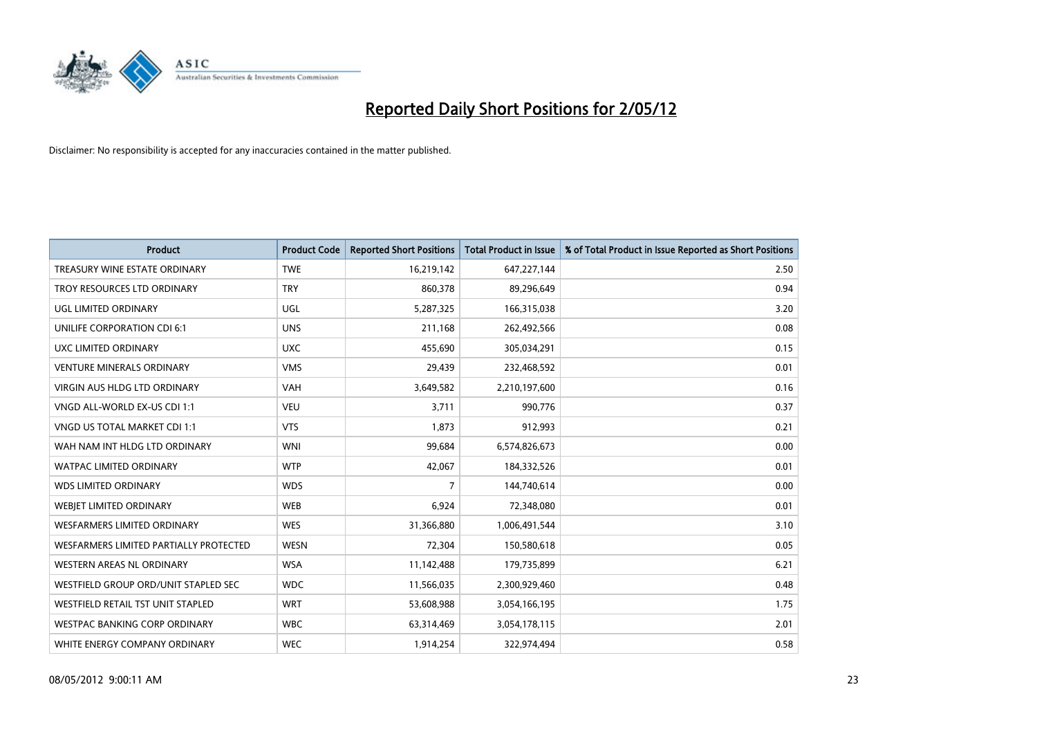

| <b>Product</b>                         | <b>Product Code</b> | <b>Reported Short Positions</b> | <b>Total Product in Issue</b> | % of Total Product in Issue Reported as Short Positions |
|----------------------------------------|---------------------|---------------------------------|-------------------------------|---------------------------------------------------------|
| TREASURY WINE ESTATE ORDINARY          | <b>TWE</b>          | 16,219,142                      | 647,227,144                   | 2.50                                                    |
| TROY RESOURCES LTD ORDINARY            | <b>TRY</b>          | 860,378                         | 89,296,649                    | 0.94                                                    |
| <b>UGL LIMITED ORDINARY</b>            | UGL                 | 5,287,325                       | 166,315,038                   | 3.20                                                    |
| UNILIFE CORPORATION CDI 6:1            | <b>UNS</b>          | 211,168                         | 262,492,566                   | 0.08                                                    |
| UXC LIMITED ORDINARY                   | <b>UXC</b>          | 455,690                         | 305,034,291                   | 0.15                                                    |
| <b>VENTURE MINERALS ORDINARY</b>       | <b>VMS</b>          | 29,439                          | 232,468,592                   | 0.01                                                    |
| VIRGIN AUS HLDG LTD ORDINARY           | <b>VAH</b>          | 3,649,582                       | 2,210,197,600                 | 0.16                                                    |
| VNGD ALL-WORLD EX-US CDI 1:1           | <b>VEU</b>          | 3,711                           | 990,776                       | 0.37                                                    |
| VNGD US TOTAL MARKET CDI 1:1           | <b>VTS</b>          | 1,873                           | 912,993                       | 0.21                                                    |
| WAH NAM INT HLDG LTD ORDINARY          | <b>WNI</b>          | 99,684                          | 6,574,826,673                 | 0.00                                                    |
| WATPAC LIMITED ORDINARY                | <b>WTP</b>          | 42,067                          | 184,332,526                   | 0.01                                                    |
| <b>WDS LIMITED ORDINARY</b>            | <b>WDS</b>          | $\overline{7}$                  | 144,740,614                   | 0.00                                                    |
| WEBJET LIMITED ORDINARY                | <b>WEB</b>          | 6,924                           | 72,348,080                    | 0.01                                                    |
| <b>WESFARMERS LIMITED ORDINARY</b>     | <b>WES</b>          | 31,366,880                      | 1,006,491,544                 | 3.10                                                    |
| WESFARMERS LIMITED PARTIALLY PROTECTED | <b>WESN</b>         | 72,304                          | 150,580,618                   | 0.05                                                    |
| <b>WESTERN AREAS NL ORDINARY</b>       | <b>WSA</b>          | 11,142,488                      | 179,735,899                   | 6.21                                                    |
| WESTFIELD GROUP ORD/UNIT STAPLED SEC   | <b>WDC</b>          | 11,566,035                      | 2,300,929,460                 | 0.48                                                    |
| WESTFIELD RETAIL TST UNIT STAPLED      | <b>WRT</b>          | 53,608,988                      | 3,054,166,195                 | 1.75                                                    |
| WESTPAC BANKING CORP ORDINARY          | <b>WBC</b>          | 63,314,469                      | 3,054,178,115                 | 2.01                                                    |
| WHITE ENERGY COMPANY ORDINARY          | <b>WEC</b>          | 1,914,254                       | 322,974,494                   | 0.58                                                    |